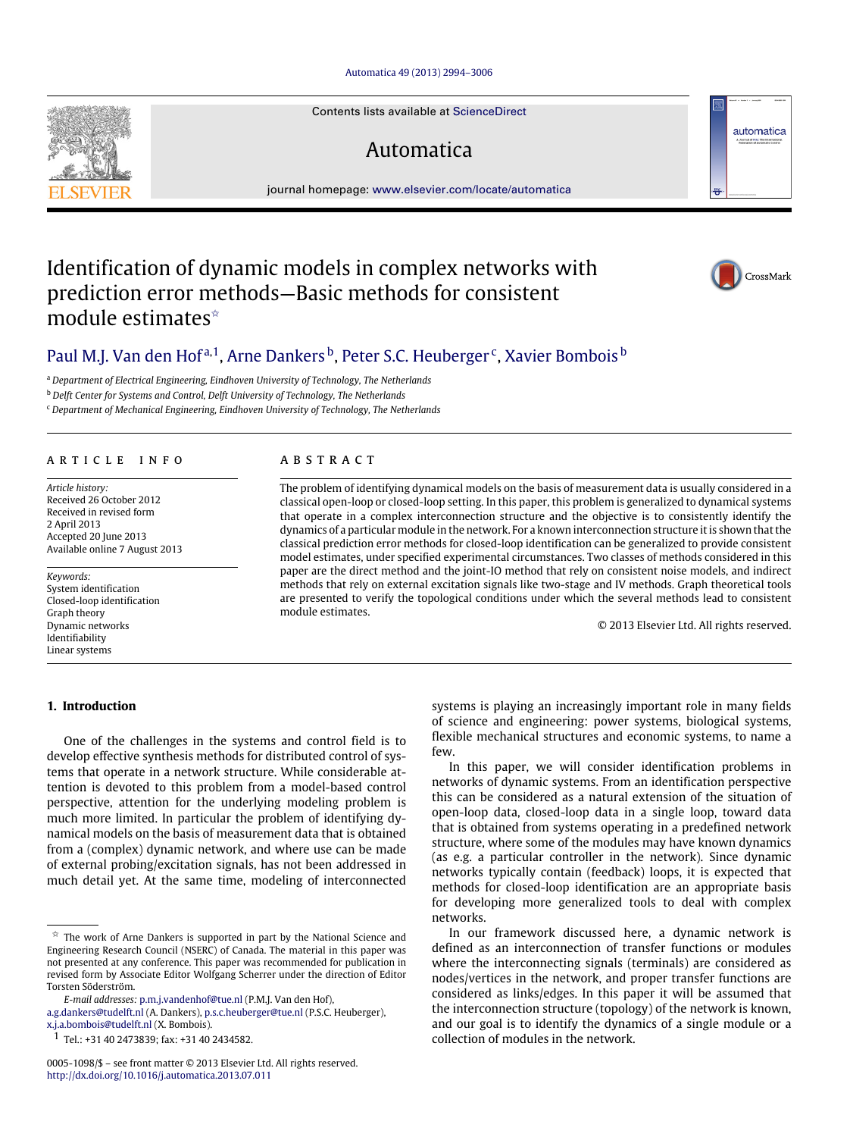#### [Automatica 49 \(2013\) 2994–3006](http://dx.doi.org/10.1016/j.automatica.2013.07.011)

Contents lists available at [ScienceDirect](http://www.elsevier.com/locate/automatica)

# Automatica

journal homepage: [www.elsevier.com/locate/automatica](http://www.elsevier.com/locate/automatica)

# Identification of dynamic models in complex networks with prediction error methods—Basic methods for consistent module estimates<sup>☆</sup>

# [Paul M.J. Van den Hof](#page-12-0)<sup>[a,](#page-0-1)[1](#page-0-2)</sup>, [Arne Dankers](#page-12-1) <sup>[b](#page-0-3)</sup>, [Peter S.C. Heuberger](#page-12-2) <sup>[c](#page-0-4)</sup>, [Xavier Bombois](#page-12-3) <sup>b</sup>

<span id="page-0-1"></span><sup>a</sup> *Department of Electrical Engineering, Eindhoven University of Technology, The Netherlands*

<span id="page-0-3"></span><sup>b</sup> *Delft Center for Systems and Control, Delft University of Technology, The Netherlands*

<span id="page-0-4"></span><sup>c</sup> *Department of Mechanical Engineering, Eindhoven University of Technology, The Netherlands*

#### A R T I C L E I N F O

*Article history:* Received 26 October 2012 Received in revised form 2 April 2013 Accepted 20 June 2013 Available online 7 August 2013

*Keywords:* System identification Closed-loop identification Graph theory Dynamic networks Identifiability Linear systems

## **1. Introduction**

# One of the challenges in the systems and control field is to develop effective synthesis methods for distributed control of systems that operate in a network structure. While considerable attention is devoted to this problem from a model-based control perspective, attention for the underlying modeling problem is much more limited. In particular the problem of identifying dynamical models on the basis of measurement data that is obtained from a (complex) dynamic network, and where use can be made of external probing/excitation signals, has not been addressed in much detail yet. At the same time, modeling of interconnected

*E-mail addresses:* [p.m.j.vandenhof@tue.nl](mailto:p.m.j.vandenhof@tue.nl) (P.M.J. Van den Hof),

[a.g.dankers@tudelft.nl](mailto:a.g.dankers@tudelft.nl) (A. Dankers), [p.s.c.heuberger@tue.nl](mailto:p.s.c.heuberger@tue.nl) (P.S.C. Heuberger), [x.j.a.bombois@tudelft.nl](mailto:x.j.a.bombois@tudelft.nl) (X. Bombois).

<span id="page-0-2"></span>1 Tel.: +31 40 2473839; fax: +31 40 2434582.

# a b s t r a c t

The problem of identifying dynamical models on the basis of measurement data is usually considered in a classical open-loop or closed-loop setting. In this paper, this problem is generalized to dynamical systems that operate in a complex interconnection structure and the objective is to consistently identify the dynamics of a particular module in the network. For a known interconnection structure it is shown that the classical prediction error methods for closed-loop identification can be generalized to provide consistent model estimates, under specified experimental circumstances. Two classes of methods considered in this paper are the direct method and the joint-IO method that rely on consistent noise models, and indirect methods that rely on external excitation signals like two-stage and IV methods. Graph theoretical tools are presented to verify the topological conditions under which the several methods lead to consistent module estimates.

© 2013 Elsevier Ltd. All rights reserved.

systems is playing an increasingly important role in many fields of science and engineering: power systems, biological systems, flexible mechanical structures and economic systems, to name a few.

In this paper, we will consider identification problems in networks of dynamic systems. From an identification perspective this can be considered as a natural extension of the situation of open-loop data, closed-loop data in a single loop, toward data that is obtained from systems operating in a predefined network structure, where some of the modules may have known dynamics (as e.g. a particular controller in the network). Since dynamic networks typically contain (feedback) loops, it is expected that methods for closed-loop identification are an appropriate basis for developing more generalized tools to deal with complex networks.

In our framework discussed here, a dynamic network is defined as an interconnection of transfer functions or modules where the interconnecting signals (terminals) are considered as nodes/vertices in the network, and proper transfer functions are considered as links/edges. In this paper it will be assumed that the interconnection structure (topology) of the network is known, and our goal is to identify the dynamics of a single module or a collection of modules in the network.

<span id="page-0-5"></span>





<span id="page-0-0"></span> $\overrightarrow{x}$  The work of Arne Dankers is supported in part by the National Science and Engineering Research Council (NSERC) of Canada. The material in this paper was not presented at any conference. This paper was recommended for publication in revised form by Associate Editor Wolfgang Scherrer under the direction of Editor Torsten Söderström.

<sup>0005-1098/\$ –</sup> see front matter © 2013 Elsevier Ltd. All rights reserved. <http://dx.doi.org/10.1016/j.automatica.2013.07.011>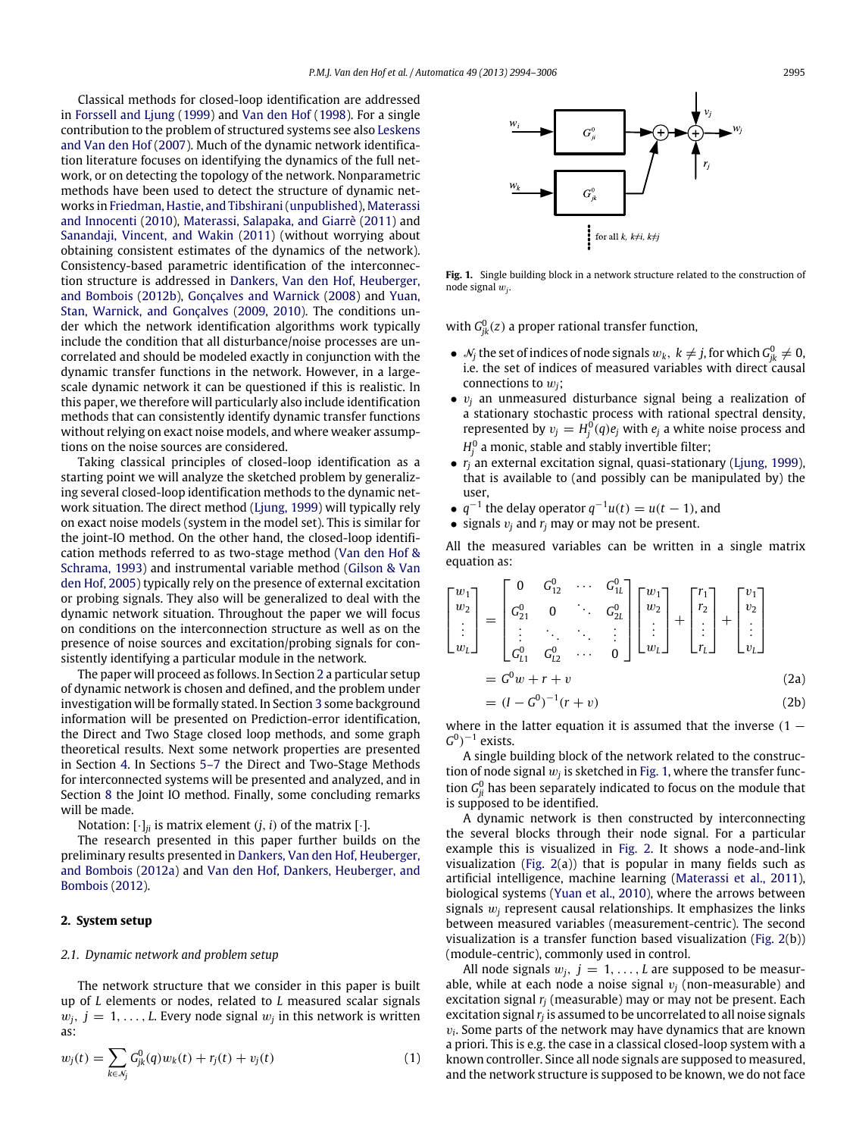Classical methods for closed-loop identification are addressed in [Forssell](#page-12-4) [and](#page-12-4) [Ljung](#page-12-4) [\(1999\)](#page-12-4) and [Van](#page-12-5) [den](#page-12-5) [Hof](#page-12-5) [\(1998\)](#page-12-5). For a single contribution to the problem of structured systems see also [Leskens](#page-12-6) [and](#page-12-6) [Van](#page-12-6) [den](#page-12-6) [Hof](#page-12-6) [\(2007\)](#page-12-6). Much of the dynamic network identification literature focuses on identifying the dynamics of the full network, or on detecting the topology of the network. Nonparametric methods have been used to detect the structure of dynamic networks in [Friedman,](#page-12-7) [Hastie,](#page-12-7) [and](#page-12-7) [Tibshirani\(unpublished\)](#page-12-7), [Materassi](#page-12-8) [and](#page-12-8) [Innocenti](#page-12-8) [\(2010\)](#page-12-8), [Materassi,](#page-12-9) [Salapaka,](#page-12-9) [and](#page-12-9) [Giarrè](#page-12-9) [\(2011\)](#page-12-9) and [Sanandaji,](#page-12-10) [Vincent,](#page-12-10) [and](#page-12-10) [Wakin](#page-12-10) [\(2011\)](#page-12-10) (without worrying about obtaining consistent estimates of the dynamics of the network). Consistency-based parametric identification of the interconnection structure is addressed in [Dankers,](#page-12-11) [Van](#page-12-11) [den](#page-12-11) [Hof,](#page-12-11) [Heuberger,](#page-12-11) [and](#page-12-11) [Bombois](#page-12-11) [\(2012b\)](#page-12-11), [Gonçalves](#page-12-12) [and](#page-12-12) [Warnick](#page-12-12) [\(2008\)](#page-12-12) and [Yuan,](#page-12-13) [Stan,](#page-12-13) [Warnick,](#page-12-13) [and](#page-12-13) [Gonçalves](#page-12-13) [\(2009,](#page-12-13) [2010\).](#page-12-14) The conditions under which the network identification algorithms work typically include the condition that all disturbance/noise processes are uncorrelated and should be modeled exactly in conjunction with the dynamic transfer functions in the network. However, in a largescale dynamic network it can be questioned if this is realistic. In this paper, we therefore will particularly also include identification methods that can consistently identify dynamic transfer functions without relying on exact noise models, and where weaker assumptions on the noise sources are considered.

Taking classical principles of closed-loop identification as a starting point we will analyze the sketched problem by generalizing several closed-loop identification methods to the dynamic network situation. The direct method [\(Ljung,](#page-12-15) [1999\)](#page-12-15) will typically rely on exact noise models (system in the model set). This is similar for the joint-IO method. On the other hand, the closed-loop identification methods referred to as two-stage method [\(Van](#page-12-16) [den](#page-12-16) [Hof](#page-12-16) [&](#page-12-16) [Schrama,](#page-12-16) [1993\)](#page-12-16) and instrumental variable method [\(Gilson](#page-12-17) [&](#page-12-17) [Van](#page-12-17) [den](#page-12-17) [Hof,](#page-12-17) [2005\)](#page-12-17) typically rely on the presence of external excitation or probing signals. They also will be generalized to deal with the dynamic network situation. Throughout the paper we will focus on conditions on the interconnection structure as well as on the presence of noise sources and excitation/probing signals for consistently identifying a particular module in the network.

The paper will proceed as follows. In Section [2](#page-1-0) a particular setup of dynamic network is chosen and defined, and the problem under investigation will be formally stated. In Section [3](#page-3-0) some background information will be presented on Prediction-error identification, the Direct and Two Stage closed loop methods, and some graph theoretical results. Next some network properties are presented in Section [4.](#page-4-0) In Sections [5–7](#page-5-0) the Direct and Two-Stage Methods for interconnected systems will be presented and analyzed, and in Section [8](#page-8-0) the Joint IO method. Finally, some concluding remarks will be made.

Notation:  $[\cdot]_{ii}$  is matrix element  $(j, i)$  of the matrix  $[\cdot]$ .

The research presented in this paper further builds on the preliminary results presented in [Dankers,](#page-12-18) [Van](#page-12-18) [den](#page-12-18) [Hof,](#page-12-18) [Heuberger,](#page-12-18) [and](#page-12-18) [Bombois](#page-12-18) [\(2012a\)](#page-12-18) and [Van](#page-12-19) [den](#page-12-19) [Hof,](#page-12-19) [Dankers,](#page-12-19) [Heuberger,](#page-12-19) [and](#page-12-19) [Bombois](#page-12-19) [\(2012\)](#page-12-19).

#### <span id="page-1-0"></span>**2. System setup**

#### *2.1. Dynamic network and problem setup*

The network structure that we consider in this paper is built up of *L* elements or nodes, related to *L* measured scalar signals  $w_j$ ,  $j = 1, \ldots, L$ . Every node signal  $w_j$  in this network is written as:

$$
w_j(t) = \sum_{k \in \mathcal{N}_j} G_{jk}^0(q) w_k(t) + r_j(t) + v_j(t)
$$
\n(1)

<span id="page-1-1"></span>

**Fig. 1.** Single building block in a network structure related to the construction of node signal w*<sup>j</sup>* .

with  $G_{jk}^0(z)$  a proper rational transfer function,

- $\bullet \;\mathcal{N}_j$  the set of indices of node signals  $w_k, k \neq j$ , for which  $G_{jk}^0 \neq 0$ , i.e. the set of indices of measured variables with direct causal connections to w*j*;
- v*<sup>j</sup>* an unmeasured disturbance signal being a realization of a stationary stochastic process with rational spectral density, represented by  $v_j = H_j^0(q)e_j$  with  $e_j$  a white noise process and  $H_j^0$  a monic, stable and stably invertible filter;
- *r<sup>j</sup>* an external excitation signal, quasi-stationary [\(Ljung,](#page-12-15) [1999\)](#page-12-15), that is available to (and possibly can be manipulated by) the user,
- $q^{-1}$  the delay operator  $q^{-1}u(t) = u(t-1)$ , and
- signals  $v_j$  and  $r_j$  may or may not be present.

All the measured variables can be written in a single matrix equation as:

$$
\begin{bmatrix} w_1 \\ w_2 \\ \vdots \\ w_L \end{bmatrix} = \begin{bmatrix} 0 & G_{12}^0 & \cdots & G_{1L}^0 \\ G_{21}^0 & 0 & \ddots & G_{2L}^0 \\ \vdots & \ddots & \ddots & \vdots \\ G_{L1}^0 & G_{L2}^0 & \cdots & 0 \end{bmatrix} \begin{bmatrix} w_1 \\ w_2 \\ \vdots \\ w_L \end{bmatrix} + \begin{bmatrix} r_1 \\ r_2 \\ \vdots \\ r_L \end{bmatrix} + \begin{bmatrix} v_1 \\ v_2 \\ \vdots \\ v_L \end{bmatrix}
$$
  
=  $G^0w + r + v$  (2a)

<span id="page-1-4"></span><span id="page-1-3"></span>
$$
= (I - G0)-1(r + v)
$$
 (2b)

where in the latter equation it is assumed that the inverse  $(1 G^0$ )<sup>-1</sup> exists.

A single building block of the network related to the construction of node signal  $w_j$  is sketched in [Fig. 1,](#page-1-1) where the transfer function  $G_{ji}^0$  has been separately indicated to focus on the module that is supposed to be identified.

A dynamic network is then constructed by interconnecting the several blocks through their node signal. For a particular example this is visualized in [Fig. 2.](#page-2-0) It shows a node-and-link visualization [\(Fig. 2\(](#page-2-0)a)) that is popular in many fields such as artificial intelligence, machine learning [\(Materassi](#page-12-9) [et al.,](#page-12-9) [2011\)](#page-12-9), biological systems [\(Yuan](#page-12-14) [et al.,](#page-12-14) [2010\)](#page-12-14), where the arrows between signals  $w_i$  represent causal relationships. It emphasizes the links between measured variables (measurement-centric). The second visualization is a transfer function based visualization [\(Fig. 2\(](#page-2-0)b)) (module-centric), commonly used in control.

<span id="page-1-2"></span>All node signals  $w_i$ ,  $j = 1, \ldots, L$  are supposed to be measurable, while at each node a noise signal  $v_i$  (non-measurable) and excitation signal *r<sup>j</sup>* (measurable) may or may not be present. Each excitation signal*r<sup>j</sup>* is assumed to be uncorrelated to all noise signals  $v_i$ . Some parts of the network may have dynamics that are known a priori. This is e.g. the case in a classical closed-loop system with a known controller. Since all node signals are supposed to measured, and the network structure is supposed to be known, we do not face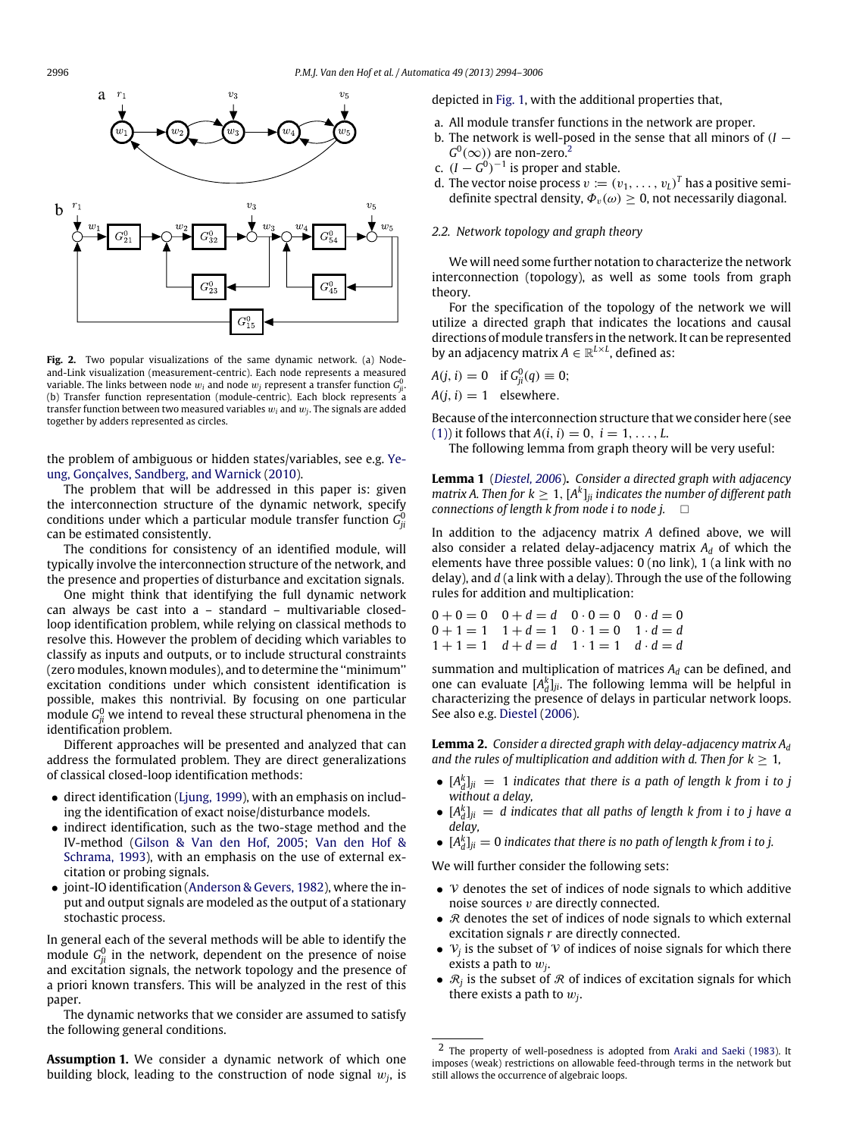<span id="page-2-0"></span>

**Fig. 2.** Two popular visualizations of the same dynamic network. (a) Nodeand-Link visualization (measurement-centric). Each node represents a measured variable. The links between node  $w_i$  and node  $w_j$  represent a transfer function  $G^0_{ji}$ . (b) Transfer function representation (module-centric). Each block represents a transfer function between two measured variables w*<sup>i</sup>* and w*<sup>j</sup>* . The signals are added together by adders represented as circles.

[t](#page-12-20)he problem of ambiguous or hidden states/variables, see e.g. [Ye](#page-12-20)[ung,](#page-12-20) [Gonçalves,](#page-12-20) [Sandberg,](#page-12-20) [and](#page-12-20) [Warnick](#page-12-20) [\(2010\)](#page-12-20).

The problem that will be addressed in this paper is: given the interconnection structure of the dynamic network, specify conditions under which a particular module transfer function  $G_{ji}^0$ can be estimated consistently.

The conditions for consistency of an identified module, will typically involve the interconnection structure of the network, and the presence and properties of disturbance and excitation signals.

One might think that identifying the full dynamic network can always be cast into a – standard – multivariable closedloop identification problem, while relying on classical methods to resolve this. However the problem of deciding which variables to classify as inputs and outputs, or to include structural constraints (zero modules, known modules), and to determine the ''minimum'' excitation conditions under which consistent identification is possible, makes this nontrivial. By focusing on one particular module  $G_{ji}^0$  we intend to reveal these structural phenomena in the identification problem.

Different approaches will be presented and analyzed that can address the formulated problem. They are direct generalizations of classical closed-loop identification methods:

- direct identification [\(Ljung,](#page-12-15) [1999\)](#page-12-15), with an emphasis on including the identification of exact noise/disturbance models.
- indirect identification, such as the two-stage method and the IV-method [\(Gilson](#page-12-17) [&](#page-12-17) [Van](#page-12-17) [den](#page-12-17) [Hof,](#page-12-17) [2005;](#page-12-17) [Van](#page-12-16) [den](#page-12-16) [Hof](#page-12-16) [&](#page-12-16) [Schrama,](#page-12-16) [1993\)](#page-12-16), with an emphasis on the use of external excitation or probing signals.
- joint-IO identification [\(Anderson](#page-12-21) [&](#page-12-21) [Gevers,](#page-12-21) [1982\)](#page-12-21), where the input and output signals are modeled as the output of a stationary stochastic process.

In general each of the several methods will be able to identify the module  $G^0_{ji}$  in the network, dependent on the presence of noise and excitation signals, the network topology and the presence of a priori known transfers. This will be analyzed in the rest of this paper.

The dynamic networks that we consider are assumed to satisfy the following general conditions.

<span id="page-2-2"></span>**Assumption 1.** We consider a dynamic network of which one building block, leading to the construction of node signal w*<sup>j</sup>* , is

depicted in [Fig. 1,](#page-1-1) with the additional properties that,

- a. All module transfer functions in the network are proper.
- b. The network is well-posed in the sense that all minors of  $(I G^0(\infty)$ ) are non-zero.<sup>[2](#page-2-1)</sup>
- c.  $(I G^0)^{-1}$  is proper and stable.
- d. The vector noise process  $v := (v_1, \ldots, v_L)^T$  has a positive semidefinite spectral density,  $\Phi_v(\omega) \geq 0$ , not necessarily diagonal.

#### <span id="page-2-3"></span>*2.2. Network topology and graph theory*

We will need some further notation to characterize the network interconnection (topology), as well as some tools from graph theory.

For the specification of the topology of the network we will utilize a directed graph that indicates the locations and causal directions of module transfers in the network. It can be represented by an adjacency matrix  $A \in \mathbb{R}^{L \times L}$ , defined as:

$$
A(j, i) = 0 \quad \text{if } G_{ji}^{0}(q) \equiv 0;
$$
  

$$
A(j, i) = 1 \quad \text{elsewhere.}
$$

Because of the interconnection structure that we consider here (see [\(1\)\)](#page-1-2) it follows that  $A(i, i) = 0, i = 1, ..., L$ .

The following lemma from graph theory will be very useful:

**Lemma 1** (*[Diestel,](#page-12-22) [2006](#page-12-22)*)**.** *Consider a directed graph with adjacency matrix A. Then for*  $k \geq 1$ *,*  $[A^k]_{ji}$  *indicates the number of different path connections of length k from node i to node j.*

In addition to the adjacency matrix *A* defined above, we will also consider a related delay-adjacency matrix  $A_d$  of which the elements have three possible values: 0 (no link), 1 (a link with no delay), and *d* (a link with a delay). Through the use of the following rules for addition and multiplication:

$$
\begin{array}{cccccc} 0+0=0 & 0+d=d & 0\cdot 0=0 & 0\cdot d=0 \\ 0+1=1 & 1+d=1 & 0\cdot 1=0 & 1\cdot d=d \\ 1+1=1 & d+d=d & 1\cdot 1=1 & d\cdot d=d \end{array}
$$

summation and multiplication of matrices *A<sup>d</sup>* can be defined, and one can evaluate  $[A_d^k]_{ji}$ . The following lemma will be helpful in characterizing the presence of delays in particular network loops. See also e.g. [Diestel](#page-12-22) [\(2006\)](#page-12-22).

**Lemma 2.** *Consider a directed graph with delay-adjacency matrix A<sup>d</sup> and the rules of multiplication and addition with d. Then for*  $k \geq 1$ *,* 

- $[A_d^k]_{ji} = 1$  *indicates that there is a path of length k from i to j without a delay,*
- $[A_d^k]_{ji} = d$  indicates that all paths of length k from i to j have a *delay,*
- $[A_d^k]_{ji} = 0$  *indicates that there is no path of length k from i to j.*

We will further consider the following sets:

- $\nu$  denotes the set of indices of node signals to which additive noise sources  $v$  are directly connected.
- $R$  denotes the set of indices of node signals to which external excitation signals *r* are directly connected.
- $V_j$  is the subset of  $V$  of indices of noise signals for which there exists a path to w*<sup>j</sup>* .
- $\mathcal{R}_j$  is the subset of  $\mathcal R$  of indices of excitation signals for which there exists a path to w*<sup>j</sup>* .

<span id="page-2-1"></span><sup>2</sup> The property of well-posedness is adopted from [Araki](#page-12-23) [and](#page-12-23) [Saeki](#page-12-23) [\(1983\)](#page-12-23). It imposes (weak) restrictions on allowable feed-through terms in the network but still allows the occurrence of algebraic loops.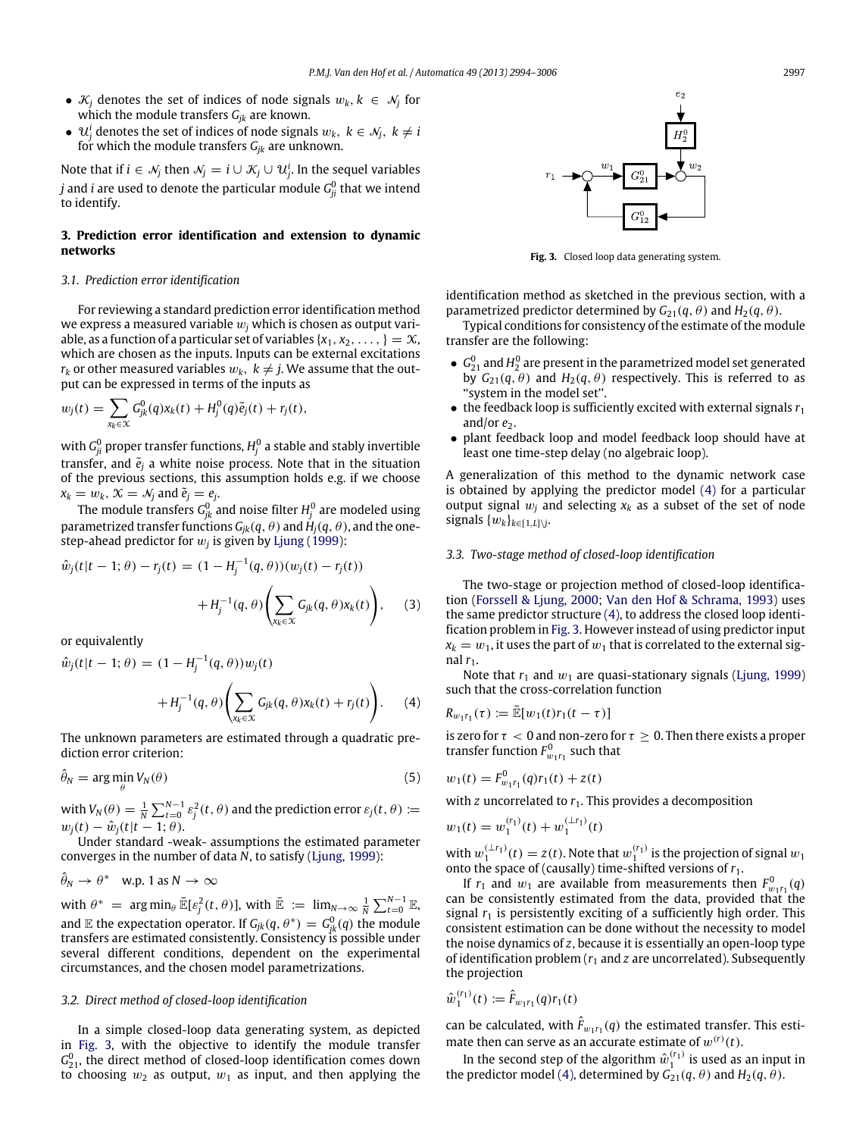- $\mathcal{K}_j$  denotes the set of indices of node signals  $w_k, k \in \mathcal{N}_j$  for which the module transfers *Gjk* are known.
- $\mathcal{U}_j^i$  denotes the set of indices of node signals  $w_k$ ,  $k \in \mathcal{N}_j$ ,  $k \neq i$ for which the module transfers *Gjk* are unknown.

Note that if  $i \in \mathcal{N}_j$  then  $\mathcal{N}_j = i \cup \mathcal{K}_j \cup \mathcal{U}^i_j$ . In the sequel variables *j* and *i* are used to denote the particular module  $G_{ji}^0$  that we intend to identify.

# <span id="page-3-0"></span>**3. Prediction error identification and extension to dynamic networks**

# *3.1. Prediction error identification*

For reviewing a standard prediction error identification method we express a measured variable w*<sup>j</sup>* which is chosen as output variable, as a function of a particular set of variables  $\{x_1, x_2, \ldots, \} = \mathcal{X}$ , which are chosen as the inputs. Inputs can be external excitations  $r_k$  or other measured variables  $w_k$ ,  $k \neq j$ . We assume that the output can be expressed in terms of the inputs as

$$
w_j(t) = \sum_{x_k \in \mathcal{X}} G_{jk}^0(q) x_k(t) + H_j^0(q) \tilde{e}_j(t) + r_j(t),
$$

with  $G_{ji}^0$  proper transfer functions,  $H_j^0$  a stable and stably invertible transfer, and  $\tilde{e}_j$  a white noise process. Note that in the situation of the previous sections, this assumption holds e.g. if we choose  $x_k = w_k$ ,  $\mathcal{X} = \mathcal{N}_j$  and  $\tilde{e}_j = e_j$ .

The module transfers  $G^0_{jk}$  and noise filter  $H^0_j$  are modeled using parametrized transfer functions  $G_{ik}(q, \theta)$  and  $H_i(q, \theta)$ , and the onestep-ahead predictor for  $w_j$  is given by [Ljung](#page-12-15) [\(1999\)](#page-12-15):

$$
\hat{w}_j(t|t-1; \theta) - r_j(t) = (1 - H_j^{-1}(q, \theta))(w_j(t) - r_j(t)) \n+ H_j^{-1}(q, \theta) \left( \sum_{x_k \in \mathcal{X}} G_{jk}(q, \theta) x_k(t) \right),
$$
\n(3)

or equivalently

$$
\hat{w}_j(t|t-1;\theta) = (1 - H_j^{-1}(q,\theta))w_j(t)
$$

$$
+ H_j^{-1}(q,\theta)\left(\sum_{x_k \in \mathcal{X}} G_{jk}(q,\theta)x_k(t) + r_j(t)\right). \tag{4}
$$

The unknown parameters are estimated through a quadratic prediction error criterion:

$$
\hat{\theta}_N = \arg\min_{\theta} V_N(\theta) \tag{5}
$$

with  $V_N(\theta) = \frac{1}{N} \sum_{t=0}^{N-1} \varepsilon_j^2(t,\theta)$  and the prediction error  $\varepsilon_j(t,\theta) \coloneqq$  $w_i(t) - \hat{w}_i(t|t-1; \theta).$ 

Under standard -weak- assumptions the estimated parameter converges in the number of data *N*, to satisfy [\(Ljung,](#page-12-15) [1999\)](#page-12-15):

$$
\hat{\theta}_N \to \theta^*
$$
 w.p. 1 as  $N \to \infty$ 

with  $\theta^* = \arg \min_{\theta} \bar{\mathbb{E}}[\varepsilon_j^2(t, \theta)]$ , with  $\bar{\mathbb{E}} := \lim_{N \to \infty} \frac{1}{N} \sum_{t=0}^{N-1} \mathbb{E}$ , and  $\mathbb E$  the expectation operator. If  $G_{jk}(q, \theta^*) = G_{jk}^0(q)$  the module transfers are estimated consistently. Consistency is possible under several different conditions, dependent on the experimental circumstances, and the chosen model parametrizations.

# *3.2. Direct method of closed-loop identification*

In a simple closed-loop data generating system, as depicted in [Fig. 3,](#page-3-1) with the objective to identify the module transfer  $G_{21}^0$ , the direct method of closed-loop identification comes down to choosing  $w_2$  as output,  $w_1$  as input, and then applying the

<span id="page-3-1"></span>

**Fig. 3.** Closed loop data generating system.

identification method as sketched in the previous section, with a parametrized predictor determined by  $G_{21}(q, \theta)$  and  $H_2(q, \theta)$ .

Typical conditions for consistency of the estimate of the module transfer are the following:

- $\bullet$   $G_{21}^0$  and  $H_2^0$  are present in the parametrized model set generated by  $G_{21}(q, \theta)$  and  $H_2(q, \theta)$  respectively. This is referred to as ''system in the model set''.
- the feedback loop is sufficiently excited with external signals *r*<sup>1</sup> and/or  $e_2$ .
- plant feedback loop and model feedback loop should have at least one time-step delay (no algebraic loop).

A generalization of this method to the dynamic network case is obtained by applying the predictor model [\(4\)](#page-3-2) for a particular output signal  $w_i$  and selecting  $x_k$  as a subset of the set of node signals  $\{w_k\}_{k \in [1, L]\setminus j}$ .

#### <span id="page-3-4"></span>*3.3. Two-stage method of closed-loop identification*

The two-stage or projection method of closed-loop identification [\(Forssell](#page-12-24) [&](#page-12-24) [Ljung,](#page-12-24) [2000;](#page-12-24) [Van](#page-12-16) [den](#page-12-16) [Hof](#page-12-16) [&](#page-12-16) [Schrama,](#page-12-16) [1993\)](#page-12-16) uses the same predictor structure [\(4\),](#page-3-2) to address the closed loop identification problem in [Fig. 3.](#page-3-1) However instead of using predictor input  $x_k = w_1$ , it uses the part of  $w_1$  that is correlated to the external signal *r*1.

<span id="page-3-2"></span>Note that  $r_1$  and  $w_1$  are quasi-stationary signals [\(Ljung,](#page-12-15) [1999\)](#page-12-15) such that the cross-correlation function

$$
R_{w_1r_1}(\tau) := \mathbb{\bar{E}}[w_1(t)r_1(t-\tau)]
$$

is zero for  $\tau < 0$  and non-zero for  $\tau \geq 0$ . Then there exists a proper transfer function  $F_{w_1r_1}^0$  such that

<span id="page-3-3"></span>
$$
w_1(t) = F_{w_1r_1}^0(q)r_1(t) + z(t)
$$

with  $z$  uncorrelated to  $r_1$ . This provides a decomposition

$$
w_1(t) = w_1^{(r_1)}(t) + w_1^{(\perp r_1)}(t)
$$

with  $w_1^{(\perp r_1)}(t) = z(t)$ . Note that  $w_1^{(r_1)}$  is the projection of signal  $w_1$ onto the space of (causally) time-shifted versions of *r*1.

If  $r_1$  and  $w_1$  are available from measurements then  $F^0_{w_1r_1}(q)$ can be consistently estimated from the data, provided that the signal  $r_1$  is persistently exciting of a sufficiently high order. This consistent estimation can be done without the necessity to model the noise dynamics of *z*, because it is essentially an open-loop type of identification problem (*r*<sup>1</sup> and *z* are uncorrelated). Subsequently the projection

$$
\hat{w}_1^{(r_1)}(t) := \hat{F}_{w_1r_1}(q)r_1(t)
$$

(*r*1)

can be calculated, with  $\hat{F}_{w_1r_1}(q)$  the estimated transfer. This estimate then can serve as an accurate estimate of  $w^{(r)}(t)$ .

In the second step of the algorithm  $\hat{w}_1^{(r_1)}$  is used as an input in the predictor model [\(4\),](#page-3-2) determined by  $G_{21}(q, \theta)$  and  $H_2(q, \theta)$ .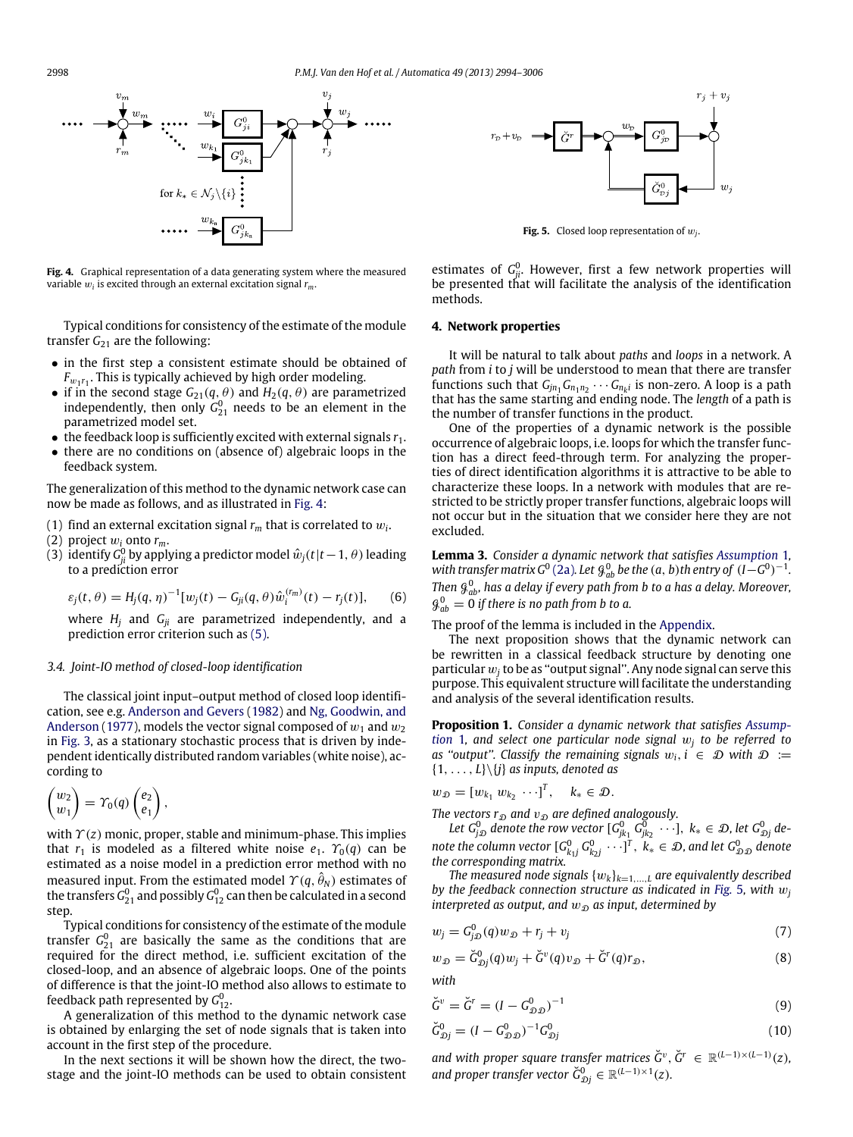<span id="page-4-1"></span>

**Fig. 4.** Graphical representation of a data generating system where the measured variable w*<sup>i</sup>* is excited through an external excitation signal *rm*.

Typical conditions for consistency of the estimate of the module transfer  $G_{21}$  are the following:

- in the first step a consistent estimate should be obtained of  $F_{w_1r_1}$ . This is typically achieved by high order modeling.
- if in the second stage  $G_{21}(q, \theta)$  and  $H_2(q, \theta)$  are parametrized independently, then only  $G_{21}^0$  needs to be an element in the parametrized model set.
- $\bullet$  the feedback loop is sufficiently excited with external signals  $r_1$ .
- there are no conditions on (absence of) algebraic loops in the feedback system.

The generalization of this method to the dynamic network case can now be made as follows, and as illustrated in [Fig. 4:](#page-4-1)

- (1) find an external excitation signal *r<sup>m</sup>* that is correlated to w*<sup>i</sup>* .
- (2) project  $w_i$  onto  $r_m$ .
- (3) identify  $G_{ji}^0$  by applying a predictor model  $\hat{w}_j(t|t-1,\theta)$  leading to a prediction error

$$
\varepsilon_j(t,\theta) = H_j(q,\eta)^{-1}[w_j(t) - G_{ji}(q,\theta)\hat{w}_i^{(r_m)}(t) - r_j(t)],
$$
 (6)

where *H<sup>j</sup>* and *Gji* are parametrized independently, and a prediction error criterion such as [\(5\).](#page-3-3)

#### *3.4. Joint-IO method of closed-loop identification*

The classical joint input–output method of closed loop identification, see e.g. [Anderson](#page-12-21) [and](#page-12-21) [Gevers](#page-12-21) [\(1982\)](#page-12-21) and [Ng,](#page-12-25) [Goodwin,](#page-12-25) [and](#page-12-25) [Anderson](#page-12-25) [\(1977\)](#page-12-25), models the vector signal composed of  $w_1$  and  $w_2$ in [Fig. 3,](#page-3-1) as a stationary stochastic process that is driven by independent identically distributed random variables (white noise), according to

$$
\begin{pmatrix}w_2\\w_1\end{pmatrix}=\varUpsilon_0(q)\begin{pmatrix}e_2\\e_1\end{pmatrix},
$$

with  $\gamma(z)$  monic, proper, stable and minimum-phase. This implies that  $r_1$  is modeled as a filtered white noise  $e_1$ .  $\gamma_0(q)$  can be estimated as a noise model in a prediction error method with no measured input. From the estimated model  $\varUpsilon(q,\hat{\theta}_N)$  estimates of the transfers  $\mathit{G}_{21}^{0}$  and possibly  $\mathit{G}_{12}^{0}$  can then be calculated in a second step.

Typical conditions for consistency of the estimate of the module transfer  $G_{21}^0$  are basically the same as the conditions that are required for the direct method, i.e. sufficient excitation of the closed-loop, and an absence of algebraic loops. One of the points of difference is that the joint-IO method also allows to estimate to feedback path represented by  $G^0_{12}.$ 

A generalization of this method to the dynamic network case is obtained by enlarging the set of node signals that is taken into account in the first step of the procedure.

In the next sections it will be shown how the direct, the twostage and the joint-IO methods can be used to obtain consistent

<span id="page-4-2"></span>

**Fig. 5.** Closed loop representation of  $w_j$ .

estimates of  $G_{ji}^0$ . However, first a few network properties will be presented that will facilitate the analysis of the identification methods.

#### <span id="page-4-0"></span>**4. Network properties**

It will be natural to talk about *paths* and *loops* in a network. A *path* from *i* to *j* will be understood to mean that there are transfer functions such that  $G_{jn_1}G_{n_1n_2}\cdots G_{n_k}$  is non-zero. A loop is a path that has the same starting and ending node. The *length* of a path is the number of transfer functions in the product.

One of the properties of a dynamic network is the possible occurrence of algebraic loops, i.e. loops for which the transfer function has a direct feed-through term. For analyzing the properties of direct identification algorithms it is attractive to be able to characterize these loops. In a network with modules that are restricted to be strictly proper transfer functions, algebraic loops will not occur but in the situation that we consider here they are not excluded.

<span id="page-4-3"></span>**Lemma 3.** *Consider a dynamic network that satisfies [Assumption](#page-2-2)* 1*,* with transfer matrix  $G^0$  [\(2a\)](#page-1-3). Let  $\mathcal{G}^0_{ab}$  be the (a, b) th entry of  $(I - G^0)^{-1}$ . *Then* G 0 *ab, has a delay if every path from b to a has a delay. Moreover,*  $\mathcal{G}_{ab}^0 = 0$  if there is no path from b to a.

#### The proof of the lemma is included in the [Appendix.](#page-9-0)

The next proposition shows that the dynamic network can be rewritten in a classical feedback structure by denoting one particular  $w_j$  to be as "output signal". Any node signal can serve this purpose. This equivalent structure will facilitate the understanding and analysis of the several identification results.

<span id="page-4-4"></span>**[P](#page-2-2)roposition 1.** *Consider a dynamic network that satisfies [Assump](#page-2-2)[tion](#page-2-2)* 1*, and select one particular node signal* w*<sup>j</sup> to be referred to as "output". Classify the remaining signals*  $w_i$ ,  $i \in D$  *with*  $D :=$ {1, . . . , *L*}\{*j*} *as inputs, denoted as*

$$
w_{\mathcal{D}} = [w_{k_1} w_{k_2} \cdots]^T, \quad k_* \in \mathcal{D}.
$$

*The vectors*  $r_{\mathcal{D}}$  *and*  $v_{\mathcal{D}}$  *are defined analogously.* 

Let  $G_{j\mathcal{D}}^0$  denote the row vector  $[G_{jk_1}^0\ G_{jk_2}^{\overline{0}}\ \cdots],\ k_*\in\mathcal{D}$ , let  $G_{\mathcal{D}j}^0$  de- $\{G_{k,j}^0, G_{k,j}^0, \cdots\}^T, \ k_* \in \mathcal{D}$ , and let  $G_{\mathcal{D} \mathcal{D}}^0$  denote *the corresponding matrix.*

*The measured node signals*  $\{w_k\}_{k=1,\dots,L}$  *are equivalently described by the feedback connection structure as indicated in [Fig.](#page-4-2)* 5*, with* w*<sup>j</sup> interpreted as output, and*  $w_{\mathcal{D}}$  *as input, determined by* 

$$
w_j = G_{j,0}^0(q)w_{j,0} + r_j + v_j \tag{7}
$$

$$
w_{\mathcal{D}} = \check{G}^0_{\mathcal{D}j}(q)w_j + \check{G}^v(q)v_{\mathcal{D}} + \check{G}^r(q)r_{\mathcal{D}},\tag{8}
$$

*with*

$$
\breve{G}^v = \breve{G}^r = (I - G^0_{\mathcal{D}, \mathcal{D}})^{-1} \tag{9}
$$

$$
\breve{G}_{\mathcal{D}j}^{0} = (I - G_{\mathcal{D},\mathcal{D}}^{0})^{-1} G_{\mathcal{D}j}^{0}
$$
\n(10)

*and with proper square transfer matrices*  $\check{G}^v$ ,  $\check{G}^r \in \mathbb{R}^{(L-1)\times (L-1)}(z)$ , *and proper transfer vector*  $\check{G}_{\mathcal{D}j}^0 \in \mathbb{R}^{(L-1)\times 1}(z)$ *.*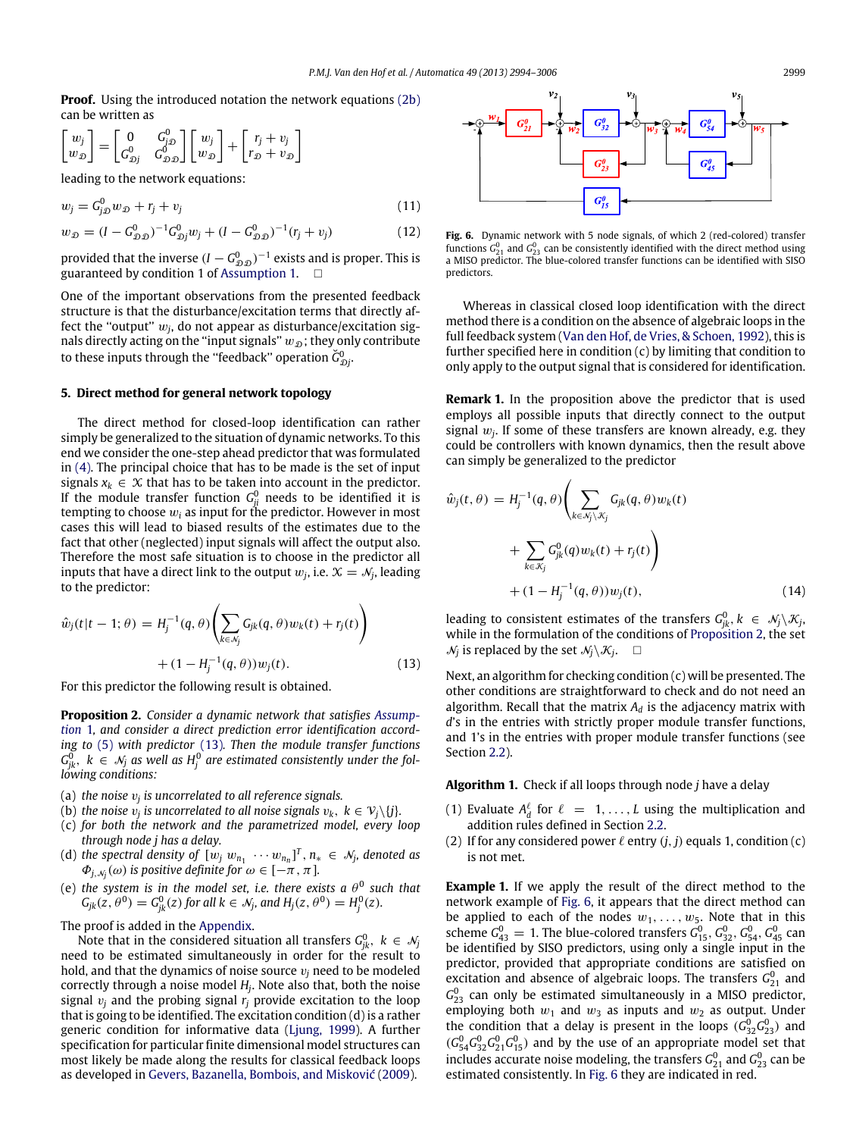**Proof.** Using the introduced notation the network equations [\(2b\)](#page-1-4) can be written as

$$
\begin{bmatrix} w_j \\ w_{\mathcal{D}} \end{bmatrix} = \begin{bmatrix} 0 & G_{j\mathcal{D}}^0 \\ G_{\mathcal{D}j}^0 & G_{\mathcal{D}\mathcal{D}}^0 \end{bmatrix} \begin{bmatrix} w_j \\ w_{\mathcal{D}} \end{bmatrix} + \begin{bmatrix} r_j + v_j \\ r_{\mathcal{D}} + v_{\mathcal{D}} \end{bmatrix}
$$

leading to the network equations:

$$
w_j = G_{j,0}^0 w_{\mathcal{D}} + r_j + v_j \tag{11}
$$

$$
w_{\mathcal{D}} = (I - G_{\mathcal{D}, \mathcal{D}}^0)^{-1} G_{\mathcal{D}j}^0 w_j + (I - G_{\mathcal{D}, \mathcal{D}}^0)^{-1} (r_j + v_j)
$$
(12)

provided that the inverse  $(I - G_{\mathcal{D}, \mathcal{D}}^0)^{-1}$  exists and is proper. This is guaranteed by condition 1 of [Assumption 1.](#page-2-2)  $\Box$ 

One of the important observations from the presented feedback structure is that the disturbance/excitation terms that directly affect the "output"  $w_j$ , do not appear as disturbance/excitation signals directly acting on the "input signals"  $w_{\mathcal{D}}$ ; they only contribute to these inputs through the "feedback" operation  $\breve{G}_{\mathfrak{D} j}^0$ .

### <span id="page-5-0"></span>**5. Direct method for general network topology**

The direct method for closed-loop identification can rather simply be generalized to the situation of dynamic networks. To this end we consider the one-step ahead predictor that was formulated in [\(4\).](#page-3-2) The principal choice that has to be made is the set of input signals  $x_k \in \mathcal{X}$  that has to be taken into account in the predictor. If the module transfer function  $G_{ji}^0$  needs to be identified it is tempting to choose w*<sup>i</sup>* as input for the predictor. However in most cases this will lead to biased results of the estimates due to the fact that other (neglected) input signals will affect the output also. Therefore the most safe situation is to choose in the predictor all inputs that have a direct link to the output  $w_j$ , i.e.  $\mathcal{X} = \mathcal{N}_j$ , leading to the predictor:

$$
\hat{w}_j(t|t-1; \theta) = H_j^{-1}(q, \theta) \left( \sum_{k \in \mathcal{N}_j} G_{jk}(q, \theta) w_k(t) + r_j(t) \right) + (1 - H_j^{-1}(q, \theta)) w_j(t).
$$
\n(13)

For this predictor the following result is obtained.

<span id="page-5-2"></span>**[P](#page-2-2)roposition 2.** *Consider a dynamic network that satisfies [Assump](#page-2-2)[tion](#page-2-2)* 1*, and consider a direct prediction error identification according to* [\(5\)](#page-3-3) *with predictor* [\(13\)](#page-5-1)*. Then the module transfer functions*  $G_{jk}^0, \, \, k \, \in \, \mathcal{N}_j$  as well as  $H_j^0$  are estimated consistently under the fol*lowing conditions:*

- (a) *the noise* v*<sup>j</sup> is uncorrelated to all reference signals.*
- (b) *the noise*  $v_j$  *is uncorrelated to all noise signals*  $v_k, \ k \in \mathcal{V}_j\backslash\{j\}.$
- (c) *for both the network and the parametrized model, every loop through node j has a delay.*
- (d) the spectral density of  $[w_j \ w_{n_1} \ \cdots w_{n_n}]^T$ ,  $n_* \in \mathcal{N}_j$ , denoted as  $\Phi_{j,\, \mathcal{N}_j}(\omega)$  is positive definite for  $\omega \in [-\pi\, ,\, \pi\,].$
- (e) the system is in the model set, i.e. there exists a  $\theta^0$  such that  $G_{jk}(z, \theta^0) = G_{jk}^0(z)$  for all  $k \in \mathcal{N}_j$ , and  $H_j(z, \theta^0) = H_j^0(z)$ .

The proof is added in the [Appendix.](#page-9-0)

Note that in the considered situation all transfers  $G^0_{jk},\,\,k\,\in\,\mathcal{N}_j$ need to be estimated simultaneously in order for the result to hold, and that the dynamics of noise source  $v_i$  need to be modeled correctly through a noise model *H<sup>j</sup>* . Note also that, both the noise signal  $v_i$  and the probing signal  $r_i$  provide excitation to the loop that is going to be identified. The excitation condition (d) is a rather generic condition for informative data [\(Ljung,](#page-12-15) [1999\)](#page-12-15). A further specification for particular finite dimensional model structures can most likely be made along the results for classical feedback loops as developed in [Gevers,](#page-12-26) [Bazanella,](#page-12-26) [Bombois,](#page-12-26) [and](#page-12-26) [Misković](#page-12-26) [\(2009\)](#page-12-26).

<span id="page-5-3"></span>

Fig. 6. Dynamic network with 5 node signals, of which 2 (red-colored) transfer functions  $G_{21}^0$  and  $G_{23}^0$  can be consistently identified with the direct method using a MISO predictor. The blue-colored transfer functions can be identified with SISO predictors.

Whereas in classical closed loop identification with the direct method there is a condition on the absence of algebraic loops in the full feedback system [\(Van](#page-12-27) [den](#page-12-27) [Hof,](#page-12-27) [de](#page-12-27) [Vries,](#page-12-27) [&](#page-12-27) [Schoen,](#page-12-27) [1992\)](#page-12-27), this is further specified here in condition (c) by limiting that condition to only apply to the output signal that is considered for identification.

<span id="page-5-5"></span>**Remark 1.** In the proposition above the predictor that is used employs all possible inputs that directly connect to the output signal  $w_j$ . If some of these transfers are known already, e.g. they could be controllers with known dynamics, then the result above can simply be generalized to the predictor

$$
\hat{w}_j(t,\theta) = H_j^{-1}(q,\theta) \left( \sum_{k \in \mathcal{N}_j \backslash \mathcal{K}_j} G_{jk}(q,\theta) w_k(t) + \sum_{k \in \mathcal{K}_j} G_{jk}^0(q) w_k(t) + r_j(t) \right) + (1 - H_j^{-1}(q,\theta)) w_j(t), \qquad (14)
$$

leading to consistent estimates of the transfers  $G_{jk}^0$ ,  $k \in \mathcal{N}_j \backslash \mathcal{K}_j$ , while in the formulation of the conditions of [Proposition 2,](#page-5-2) the set  $\mathcal{N}_j$  is replaced by the set  $\mathcal{N}_j \setminus \mathcal{K}_j$ .  $\square$ 

<span id="page-5-1"></span>Next, an algorithm for checking condition (c) will be presented. The other conditions are straightforward to check and do not need an algorithm. Recall that the matrix  $A_d$  is the adjacency matrix with *d*'s in the entries with strictly proper module transfer functions, and 1's in the entries with proper module transfer functions (see Section [2.2\)](#page-2-3).

**Algorithm 1.** Check if all loops through node *j* have a delay

- (1) Evaluate  $A_d^{\ell}$  for  $\ell = 1, ..., L$  using the multiplication and addition rules defined in Section [2.2.](#page-2-3)
- (2) If for any considered power  $\ell$  entry  $(j, j)$  equals 1, condition (c) is not met.

<span id="page-5-4"></span>**Example 1.** If we apply the result of the direct method to the network example of [Fig. 6,](#page-5-3) it appears that the direct method can be applied to each of the nodes  $w_1, \ldots, w_5$ . Note that in this scheme  $G_{43}^0 = 1$ . The blue-colored transfers  $G_{15}^0$ ,  $G_{32}^0$ ,  $G_{54}^0$ ,  $G_{45}^0$  can be identified by SISO predictors, using only a single input in the predictor, provided that appropriate conditions are satisfied on excitation and absence of algebraic loops. The transfers  $G_{21}^0$  and  $G_{23}^0$  can only be estimated simultaneously in a MISO predictor, employing both  $w_1$  and  $w_3$  as inputs and  $w_2$  as output. Under the condition that a delay is present in the loops  $(G_{32}^0 G_{23}^0)$  and  $(G_{54}^0 G_{32}^0 G_{21}^0 G_{15}^0)$  and by the use of an appropriate model set that includes accurate noise modeling, the transfers  $G_{21}^0$  and  $G_{23}^0$  can be estimated consistently. In [Fig. 6](#page-5-3) they are indicated in red.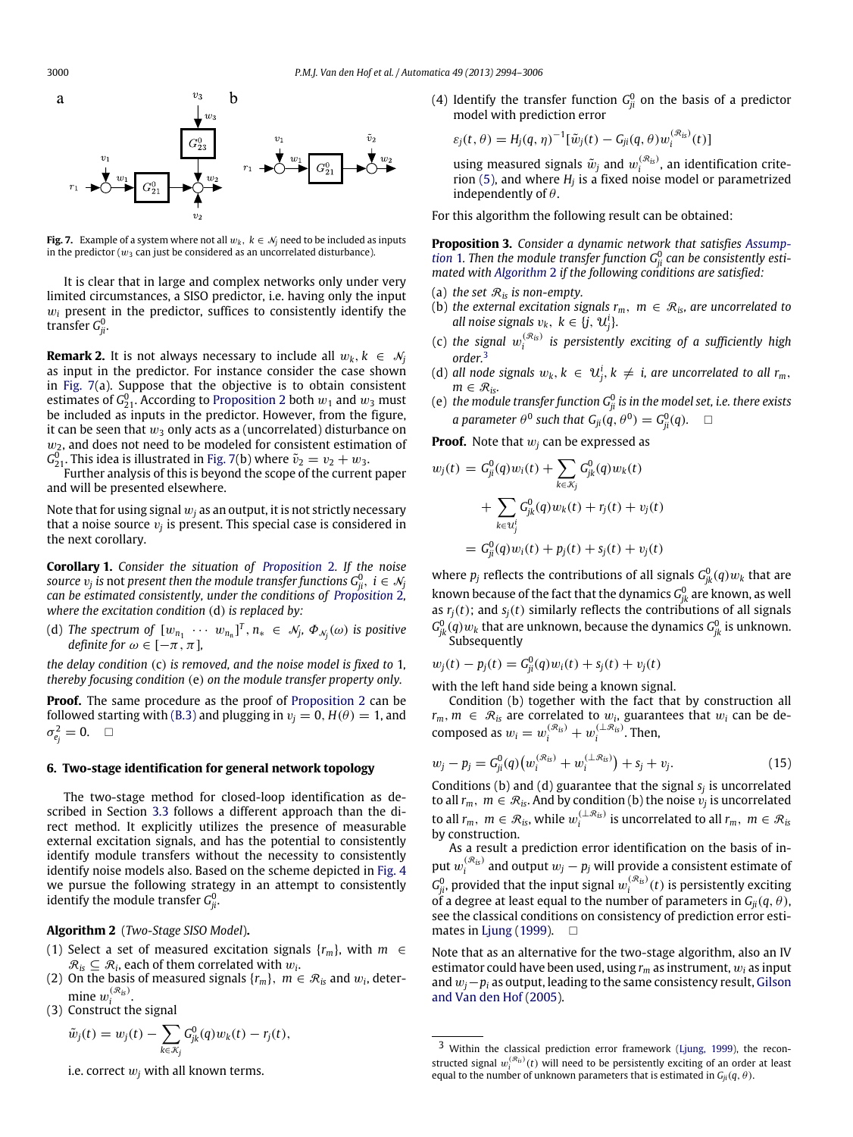<span id="page-6-0"></span>

**Fig. 7.** Example of a system where not all  $w_k$ ,  $k \in \mathcal{N}_j$  need to be included as inputs in the predictor ( $w_3$  can just be considered as an uncorrelated disturbance).

It is clear that in large and complex networks only under very limited circumstances, a SISO predictor, i.e. having only the input  $w_i$  present in the predictor, suffices to consistently identify the transfer G $_{ji}^0.$ 

**Remark 2.** It is not always necessary to include all  $w_k$ ,  $k \in \mathcal{N}_j$ as input in the predictor. For instance consider the case shown in [Fig. 7\(](#page-6-0)a). Suppose that the objective is to obtain consistent estimates of  $\mathsf{G}_{21}^0$ . According to [Proposition 2](#page-5-2) both  $w_1$  and  $w_3$  must be included as inputs in the predictor. However, from the figure, it can be seen that  $w_3$  only acts as a (uncorrelated) disturbance on  $w_2$ , and does not need to be modeled for consistent estimation of  $G_{21}^0$ . This idea is illustrated in [Fig. 7\(](#page-6-0)b) where  $\tilde{v}_2 = v_2 + w_3$ .<br>Further analysis of this is beyond the scope of the current paper

and will be presented elsewhere.

Note that for using signal  $w_i$  as an output, it is not strictly necessary that a noise source  $v_j$  is present. This special case is considered in the next corollary.

**Corollary 1.** *Consider the situation of [Proposition](#page-5-2)* 2*. If the noise*  $s$ ource  $v_j$  is not present then the module transfer functions  $G_{ji}^0, \,\, i \in \mathcal{N}_j$ *can be estimated consistently, under the conditions of [Proposition](#page-5-2)* 2*, where the excitation condition* (d) *is replaced by:*

(d) The spectrum of  $[w_{n_1}~\cdots~w_{n_n}]^T, n_*~\in~\mathcal{N}_j,~\varPhi_{\mathcal{N}_j}(\omega)$  is positive *definite for*  $\omega \in [-\pi, \pi]$ *,* 

*the delay condition* (c) *is removed, and the noise model is fixed to* 1*, thereby focusing condition* (e) *on the module transfer property only.*

**Proof.** The same procedure as the proof of [Proposition 2](#page-5-2) can be followed starting with [\(B.3\)](#page-10-0) and plugging in  $v_j = 0$ ,  $H(\theta) = 1$ , and  $\sigma^2_{e_j} = 0.$   $\Box$ 

#### **6. Two-stage identification for general network topology**

The two-stage method for closed-loop identification as described in Section [3.3](#page-3-4) follows a different approach than the direct method. It explicitly utilizes the presence of measurable external excitation signals, and has the potential to consistently identify module transfers without the necessity to consistently identify noise models also. Based on the scheme depicted in [Fig. 4](#page-4-1) we pursue the following strategy in an attempt to consistently identify the module transfer  $\mathit{G}_{ji}^{0}.$ 

<span id="page-6-1"></span>**Algorithm 2** (*Two-Stage SISO Model*)**.**

- (1) Select a set of measured excitation signals  $\{r_m\}$ , with  $m \in$  $\mathcal{R}_{is} \subseteq \mathcal{R}_i$ , each of them correlated with  $w_i$ .
- (2) On the basis of measured signals  $\{r_m\}$ ,  $m \in \mathcal{R}_i$  and  $w_i$ , determine  $w_i^{(\mathcal{R}_{is})}$ .
- (3) Construct the signal

$$
\tilde{w}_j(t) = w_j(t) - \sum_{k \in \mathcal{K}_j} G_{jk}^0(q) w_k(t) - r_j(t),
$$

i.e. correct  $w_i$  with all known terms.

(4) Identify the transfer function  $G_{ji}^0$  on the basis of a predictor model with prediction error

$$
\varepsilon_j(t,\theta) = H_j(q,\eta)^{-1}[\tilde{w}_j(t) - G_{ji}(q,\theta)w_i^{(\mathcal{R}_{is})}(t)]
$$

using measured signals  $\tilde{w}_j$  and  $w_i^{(\mathcal{R}_i)}$ , an identification criterion [\(5\),](#page-3-3) and where *H<sup>j</sup>* is a fixed noise model or parametrized independently of  $\theta$ .

For this algorithm the following result can be obtained:

<span id="page-6-3"></span>**[P](#page-2-2)roposition 3.** *Consider a dynamic network that satisfies [Assump](#page-2-2)[tion](#page-2-2)* 1. Then the module transfer function  $G_{ji}^0$  can be consistently esti*mated with [Algorithm](#page-6-1)* 2 *if the following conditions are satisfied:*

- (a) *the set*  $\mathcal{R}_i$  *is non-empty.*
- (b) *the external excitation signals*  $r_m$ ,  $m \in \mathcal{R}_{is}$ , are uncorrelated to *all noise signals*  $v_k, k \in \{j, u^i_j\}$ .
- (c) the signal  $w_i^{(\mathcal{R}_{is})}$  is persistently exciting of a sufficiently high *order.*[3](#page-6-2)
- (d) all node signals  $w_k, k \in \mathcal{U}_j^i, k \neq i$ , are uncorrelated to all  $r_m$ ,  $m \in \mathcal{R}_{is}$ *.*
- (e) the module transfer function  $G_{ji}^0$  is in the model set, i.e. there exists *a* parameter  $\theta^0$  such that  $G_{ji}(q, \theta^0) = G_{ji}^0(q)$ .  $\square$

**Proof.** Note that w*<sup>j</sup>* can be expressed as

$$
w_j(t) = G_{ji}^0(q)w_i(t) + \sum_{k \in \mathcal{K}_j} G_{jk}^0(q)w_k(t)
$$
  
+ 
$$
\sum_{k \in \mathcal{U}_j^i} G_{jk}^0(q)w_k(t) + r_j(t) + v_j(t)
$$
  
= 
$$
G_{ji}^0(q)w_i(t) + p_j(t) + s_j(t) + v_j(t)
$$

where  $p_j$  reflects the contributions of all signals  $G_{jk}^0(q)w_k$  that are known because of the fact that the dynamics  $G_{jk}^0$  are known, as well as  $r_j(t)$ ; and  $s_j(t)$  similarly reflects the contributions of all signals  $G_{jk}^{0}(q)w_{k}$  that are unknown, because the dynamics  $G_{jk}^{0}$  is unknown. Subsequently

$$
w_j(t) - p_j(t) = G_{ji}^0(q)w_i(t) + s_j(t) + v_j(t)
$$

with the left hand side being a known signal.

Condition (b) together with the fact that by construction all  $r_m$ ,  $m \in \mathcal{R}_i$  are correlated to  $w_i$ , guarantees that  $w_i$  can be decomposed as  $w_i = w_i^{(\mathcal{R}_{is})} + w_i^{(\perp \mathcal{R}_{is})}$ . Then,

$$
w_j - p_j = G_{ji}^0(q) \left( w_i^{(\mathcal{R}_{is})} + w_i^{(\perp \mathcal{R}_{is})} \right) + s_j + v_j. \tag{15}
$$

Conditions (b) and (d) guarantee that the signal *s<sup>j</sup>* is uncorrelated to all  $r_m$ ,  $m \in \mathcal{R}_{is}$ . And by condition (b) the noise  $v_j$  is uncorrelated to all  $r_m$ ,  $m \in \mathcal{R}_{is}$ , while  $w_i^{(\perp \mathcal{R}_{is})}$  is uncorrelated to all  $r_m$ ,  $m \in \mathcal{R}_{is}$ by construction.

As a result a prediction error identification on the basis of input  $w_i^{(\mathcal{R}_{is})}$  and output  $w_j - p_j$  will provide a consistent estimate of  $G_{ji}^0$ , provided that the input signal  $w_i^{(\mathcal{R}_{is})}(t)$  is persistently exciting of a degree at least equal to the number of parameters in  $G_{ii}(q, \theta)$ , see the classical conditions on consistency of prediction error esti-mates in [Ljung](#page-12-15) [\(1999\)](#page-12-15).  $\Box$ 

Note that as an alternative for the two-stage algorithm, also an IV estimator could have been used, using *r<sup>m</sup>* as instrument, w*<sup>i</sup>* as input and w*j*−*p<sup>i</sup>* as output, leading to the same consistency result, [Gilson](#page-12-17) [and](#page-12-17) [Van](#page-12-17) [den](#page-12-17) [Hof](#page-12-17) [\(2005\)](#page-12-17).

<span id="page-6-2"></span><sup>3</sup> Within the classical prediction error framework [\(Ljung,](#page-12-15) [1999\)](#page-12-15), the reconstructed signal  $w_i^{(\mathcal{R}_B)}(t)$  will need to be persistently exciting of an order at least equal to the number of unknown parameters that is estimated in  $G_{ji}(q, \theta)$ .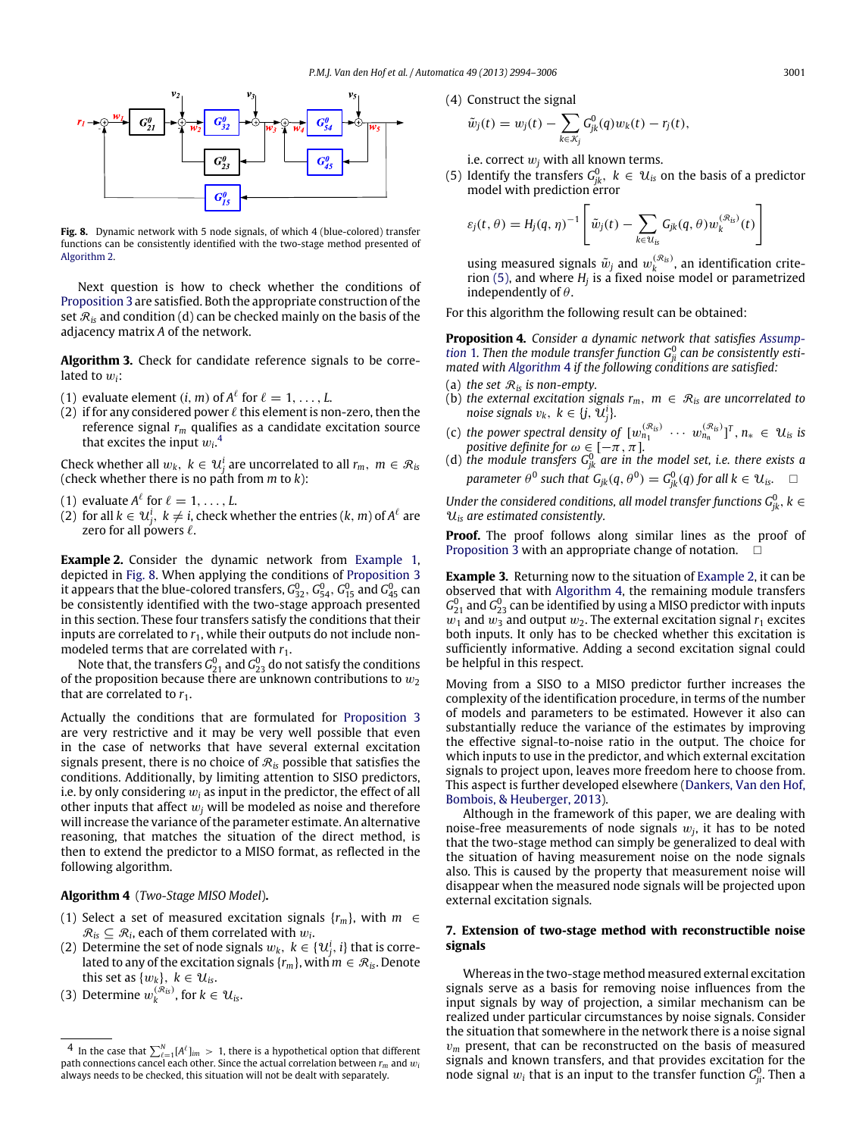<span id="page-7-1"></span>

**Fig. 8.** Dynamic network with 5 node signals, of which 4 (blue-colored) transfer functions can be consistently identified with the two-stage method presented of [Algorithm 2.](#page-6-1)

Next question is how to check whether the conditions of [Proposition 3](#page-6-3) are satisfied. Both the appropriate construction of the set  $\mathcal{R}_i$  and condition (d) can be checked mainly on the basis of the adjacency matrix *A* of the network.

**Algorithm 3.** Check for candidate reference signals to be correlated to w*i*:

- (1) evaluate element  $(i, m)$  of  $A^{\ell}$  for  $\ell = 1, \ldots, L$ .
- (2) if for any considered power  $\ell$  this element is non-zero, then the reference signal *r<sup>m</sup>* qualifies as a candidate excitation source that excites the input  $w_i$ .<sup>[4](#page-7-0)</sup>

Check whether all  $w_k$ ,  $k \in \mathcal{U}_j^i$  are uncorrelated to all  $r_m$ ,  $m \in \mathcal{R}_i$ (check whether there is no path from *m* to *k*):

- (1) evaluate  $A^{\ell}$  for  $\ell = 1, \ldots, L$ .
- (2) for all  $k \in \mathcal{U}_j^i$ ,  $k \neq i$ , check whether the entries (*k*, *m*) of  $A^\ell$  are zero for all powers  $\ell$ .

<span id="page-7-3"></span>**Example 2.** Consider the dynamic network from [Example 1,](#page-5-4) depicted in [Fig. 8.](#page-7-1) When applying the conditions of [Proposition 3](#page-6-3) it appears that the blue-colored transfers,  $G^0_{32}$ ,  $G^0_{54}$ ,  $G^0_{15}$  and  $G^0_{45}$  can be consistently identified with the two-stage approach presented in this section. These four transfers satisfy the conditions that their inputs are correlated to  $r_1$ , while their outputs do not include nonmodeled terms that are correlated with  $r_1$ .

Note that, the transfers  $G^0_{21}$  and  $G^0_{23}$  do not satisfy the conditions of the proposition because there are unknown contributions to  $w_2$ that are correlated to  $r_1$ .

Actually the conditions that are formulated for [Proposition 3](#page-6-3) are very restrictive and it may be very well possible that even in the case of networks that have several external excitation signals present, there is no choice of  $\mathcal{R}_{is}$  possible that satisfies the conditions. Additionally, by limiting attention to SISO predictors, i.e. by only considering w*<sup>i</sup>* as input in the predictor, the effect of all other inputs that affect  $w_i$  will be modeled as noise and therefore will increase the variance of the parameter estimate. An alternative reasoning, that matches the situation of the direct method, is then to extend the predictor to a MISO format, as reflected in the following algorithm.

<span id="page-7-2"></span>**Algorithm 4** (*Two-Stage MISO Model*)**.**

- (1) Select a set of measured excitation signals  $\{r_m\}$ , with  $m \in$  $\mathcal{R}_{is} \subseteq \mathcal{R}_i$ , each of them correlated with  $w_i$ .
- (2) Determine the set of node signals  $w_k,~k\in\{\mathcal{U}_j^i,i\}$  that is correlated to any of the excitation signals  $\{r_m\}$ , with  $m \in \mathcal{R}_i$ . Denote this set as  $\{w_k\},\ k \in \mathcal{U}_{is}.$
- (3) Determine  $w_k^{(\mathcal{R}_{is})}$ , for  $k \in \mathcal{U}_{is}$ .

(4) Construct the signal

$$
\tilde{w}_j(t) = w_j(t) - \sum_{k \in \mathcal{K}_j} G_{jk}^0(q) w_k(t) - r_j(t),
$$

i.e. correct  $w_i$  with all known terms.

(5) Identify the transfers  $G_{jk}^0$ ,  $k \in \mathcal{U}_{is}$  on the basis of a predictor model with prediction error

$$
\varepsilon_j(t,\theta) = H_j(q,\eta)^{-1} \left[ \tilde{w}_j(t) - \sum_{k \in \mathcal{U}_{is}} G_{jk}(q,\theta) w_k^{(\mathcal{R}_{is})}(t) \right]
$$

using measured signals  $\tilde{w}_j$  and  $w_k^{(\mathcal{R}_{is})}$ , an identification criterion [\(5\),](#page-3-3) and where *H<sup>j</sup>* is a fixed noise model or parametrized independently of  $\theta$ .

For this algorithm the following result can be obtained:

**[P](#page-2-2)roposition 4.** *Consider a dynamic network that satisfies [Assump](#page-2-2)[tion](#page-2-2)* 1. Then the module transfer function  $G_{ji}^0$  can be consistently esti*mated with [Algorithm](#page-7-2)* 4 *if the following conditions are satisfied:*

- (a) *the set*  $\mathcal{R}_i$ *s is non-empty.*
- (b) *the external excitation signals*  $r_m$ ,  $m \in \mathcal{R}_s$  *are uncorrelated to noise signals*  $v_k, k \in \{j, \, \tilde{\mathcal{U}}^i_j\}.$
- (c) the power spectral density of  $[w_{n_1}^{(\mathcal{R}_{is})} \cdots w_{n_n}^{(\mathcal{R}_{is})}]^T$ ,  $n_* \in \mathcal{U}_{is}$  is *positive definite for*  $\omega \in [-\pi, \pi]$ *.*
- (d) the module transfers  $G_{jk}^0$  are in the model set, i.e. there exists a  $p$ arameter  $\theta^0$  such that  $G_{jk}(q, \theta^0) = G_{jk}^0(q)$  for all  $k \in \mathcal{U}_{is}$ .  $\quad \Box$

*Under the considered conditions, all model transfer functions*  $G_{jk}^0$ *,*  $k \in$ U*is are estimated consistently.*

**Proof.** The proof follows along similar lines as the proof of [Proposition 3](#page-6-3) with an appropriate change of notation.  $\Box$ 

**Example 3.** Returning now to the situation of [Example 2,](#page-7-3) it can be observed that with [Algorithm 4,](#page-7-2) the remaining module transfers  $G_{21}^0$  and  $G_{23}^0$  can be identified by using a MISO predictor with inputs  $w_1$  and  $w_3$  and output  $w_2$ . The external excitation signal  $r_1$  excites both inputs. It only has to be checked whether this excitation is sufficiently informative. Adding a second excitation signal could be helpful in this respect.

Moving from a SISO to a MISO predictor further increases the complexity of the identification procedure, in terms of the number of models and parameters to be estimated. However it also can substantially reduce the variance of the estimates by improving the effective signal-to-noise ratio in the output. The choice for which inputs to use in the predictor, and which external excitation signals to project upon, leaves more freedom here to choose from. This aspect is further developed elsewhere [\(Dankers,](#page-12-28) [Van](#page-12-28) [den](#page-12-28) [Hof,](#page-12-28) [Bombois,](#page-12-28) [&](#page-12-28) [Heuberger,](#page-12-28) [2013\)](#page-12-28).

Although in the framework of this paper, we are dealing with noise-free measurements of node signals  $w_j$ , it has to be noted that the two-stage method can simply be generalized to deal with the situation of having measurement noise on the node signals also. This is caused by the property that measurement noise will disappear when the measured node signals will be projected upon external excitation signals.

#### <span id="page-7-4"></span>**7. Extension of two-stage method with reconstructible noise signals**

Whereas in the two-stage method measured external excitation signals serve as a basis for removing noise influences from the input signals by way of projection, a similar mechanism can be realized under particular circumstances by noise signals. Consider the situation that somewhere in the network there is a noise signal  $v_m$  present, that can be reconstructed on the basis of measured signals and known transfers, and that provides excitation for the node signal  $w_i$  that is an input to the transfer function  $G_{ji}^0$ . Then a

<span id="page-7-0"></span> $^4$  In the case that  $\sum_{\ell=1}^{N} [A^{\ell}]_{im} > 1$ , there is a hypothetical option that different path connections cancel each other. Since the actual correlation between *r<sup>m</sup>* and w*<sup>i</sup>* always needs to be checked, this situation will not be dealt with separately.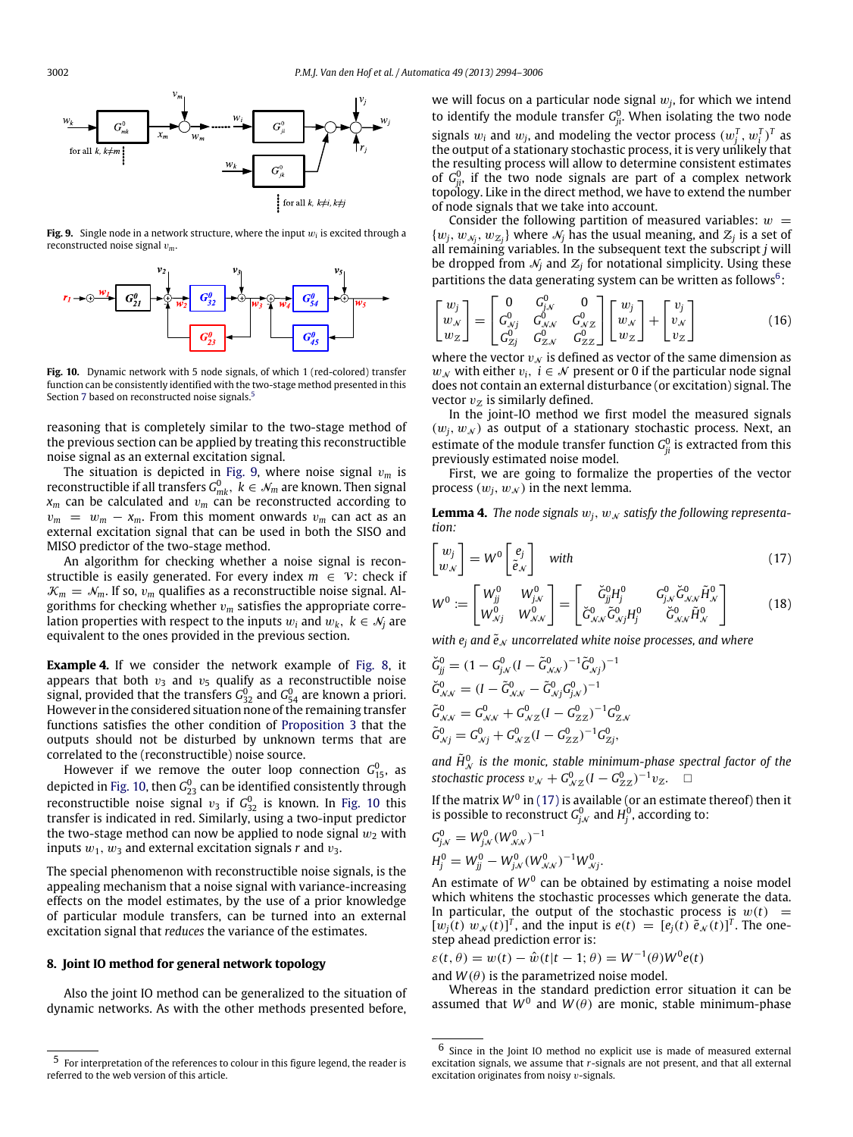<span id="page-8-1"></span>

**Fig. 9.** Single node in a network structure, where the input w*<sup>i</sup>* is excited through a reconstructed noise signal v*m*.

<span id="page-8-2"></span>

**Fig. 10.** Dynamic network with 5 node signals, of which 1 (red-colored) transfer function can be consistently identified with the two-stage method presented in this Section [7](#page-7-4) based on reconstructed noise signals.<sup>[5](#page-0-5)</sup>

reasoning that is completely similar to the two-stage method of the previous section can be applied by treating this reconstructible noise signal as an external excitation signal.

The situation is depicted in [Fig. 9,](#page-8-1) where noise signal v*<sup>m</sup>* is reconstructible if all transfers  $G_{mk}^0, \; k \in \mathcal{N}_m$  are known. Then signal  $x_m$  can be calculated and  $v_m$  can be reconstructed according to  $v_m = w_m - x_m$ . From this moment onwards  $v_m$  can act as an external excitation signal that can be used in both the SISO and MISO predictor of the two-stage method.

An algorithm for checking whether a noise signal is reconstructible is easily generated. For every index  $m \in V$ : check if  $K_m = N_m$ . If so,  $v_m$  qualifies as a reconstructible noise signal. Algorithms for checking whether  $v_m$  satisfies the appropriate correlation properties with respect to the inputs  $w_i$  and  $w_k$ ,  $k \in \mathcal{N}_i$  are equivalent to the ones provided in the previous section.

**Example 4.** If we consider the network example of [Fig. 8,](#page-7-1) it appears that both  $v_3$  and  $v_5$  qualify as a reconstructible noise signal, provided that the transfers  $G^0_{32}$  and  $G^0_{54}$  are known a priori. However in the considered situation none of the remaining transfer functions satisfies the other condition of [Proposition 3](#page-6-3) that the outputs should not be disturbed by unknown terms that are correlated to the (reconstructible) noise source.

However if we remove the outer loop connection  $G_{15}^0$ , as depicted in [Fig. 10,](#page-8-2) then  $\mathsf{G}_{23}^0$  can be identified consistently through reconstructible noise signal  $v_3$  if  $G_{32}^0$  is known. In [Fig. 10](#page-8-2) this transfer is indicated in red. Similarly, using a two-input predictor the two-stage method can now be applied to node signal  $w_2$  with inputs  $w_1$ ,  $w_3$  and external excitation signals *r* and  $v_3$ .

The special phenomenon with reconstructible noise signals, is the appealing mechanism that a noise signal with variance-increasing effects on the model estimates, by the use of a prior knowledge of particular module transfers, can be turned into an external excitation signal that *reduces* the variance of the estimates.

#### <span id="page-8-0"></span>**8. Joint IO method for general network topology**

Also the joint IO method can be generalized to the situation of dynamic networks. As with the other methods presented before,

we will focus on a particular node signal  $w_j$ , for which we intend to identify the module transfer  $G_{ji}^0$ . When isolating the two node signals  $w_i$  and  $w_j$ , and modeling the vector process  $(w_j^T, w_j^T)^T$  as the output of a stationary stochastic process, it is very unlikely that the resulting process will allow to determine consistent estimates of  $G_{ji}^0$ , if the two node signals are part of a complex network topology. Like in the direct method, we have to extend the number of node signals that we take into account.

Consider the following partition of measured variables:  $w =$  $\{w_j, w_{\mathcal{N}_j}, w_{\mathcal{Z}_j}\}\$  where  $\mathcal{N}_j$  has the usual meaning, and  $\mathcal{Z}_j$  is a set of all remaining variables. In the subsequent text the subscript *j* will be dropped from  $\mathcal{N}_j$  and  $\mathcal{Z}_j$  for notational simplicity. Using these partitions the data generating system can be written as follows $6$ :

$$
\begin{bmatrix} w_j \\ w_N \\ w_Z \end{bmatrix} = \begin{bmatrix} 0 & G_{j,N}^0 & 0 \\ G_{N,j}^0 & G_{N,N}^0 & G_{N,Z}^0 \\ G_{Zj}^0 & G_{Z,N}^0 & G_{ZZ}^0 \end{bmatrix} \begin{bmatrix} w_j \\ w_N \\ w_Z \end{bmatrix} + \begin{bmatrix} v_j \\ v_N \\ v_Z \end{bmatrix}
$$
(16)

where the vector  $v_N$  is defined as vector of the same dimension as *w*<sub>N</sub> with either  $v_i$ , *i* ∈  $N$  present or 0 if the particular node signal does not contain an external disturbance (or excitation) signal. The vector  $v_z$  is similarly defined.

In the joint-IO method we first model the measured signals  $(w_i, w_N)$  as output of a stationary stochastic process. Next, an estimate of the module transfer function  $G_{ji}^0$  is extracted from this previously estimated noise model.

First, we are going to formalize the properties of the vector process  $(w_i, w_N)$  in the next lemma.

<span id="page-8-5"></span>**Lemma 4.** The node signals  $w_j$ ,  $w_N$  satisfy the following representa*tion:*

<span id="page-8-4"></span>
$$
\begin{bmatrix} w_j \\ w_{\mathcal{N}} \end{bmatrix} = W^0 \begin{bmatrix} e_j \\ \tilde{e}_{\mathcal{N}} \end{bmatrix} \quad \text{with} \tag{17}
$$

$$
W^{0} := \begin{bmatrix} W_{jj}^{0} & W_{j,v}^{0} \\ W_{\mathcal{N}j}^{0} & W_{\mathcal{N}N}^{0} \end{bmatrix} = \begin{bmatrix} \breve{G}_{jj}^{0}H_{j}^{0} & G_{j,v}^{0} \breve{G}_{\mathcal{N}N}^{0} \breve{H}_{\mathcal{N}}^{0} \\ \breve{G}_{\mathcal{N}N}^{0} \breve{G}_{\mathcal{N}j}^{0} H_{j}^{0} & \breve{G}_{\mathcal{N}N}^{0} \breve{H}_{\mathcal{N}}^{0} \end{bmatrix}
$$
(18)

*with*  $e_i$  *and*  $\tilde{e}_N$  *uncorrelated white noise processes, and where* 

$$
\begin{aligned}\n\breve{G}_{jj}^{0} &= (1 - G_{j,\mathcal{N}}^{0} (I - \tilde{G}_{\mathcal{N},\mathcal{N}}^{0})^{-1} \tilde{G}_{\mathcal{N},j}^{0})^{-1} \\
\breve{G}_{\mathcal{N},\mathcal{N}}^{0} &= (I - \tilde{G}_{\mathcal{N},\mathcal{N}}^{0} - \tilde{G}_{\mathcal{N},j}^{0} G_{j,\mathcal{N}}^{0})^{-1} \\
\tilde{G}_{\mathcal{N},\mathcal{N}}^{0} &= G_{\mathcal{N},\mathcal{N}}^{0} + G_{\mathcal{N},\mathcal{Z}}^{0} (I - G_{\mathcal{Z},\mathcal{Z}}^{0})^{-1} G_{\mathcal{Z},\mathcal{N}}^{0} \\
\tilde{G}_{\mathcal{N},j}^{0} &= G_{\mathcal{N},j}^{0} + G_{\mathcal{N},\mathcal{Z}}^{0} (I - G_{\mathcal{Z},\mathcal{Z}}^{0})^{-1} G_{\mathcal{Z},j}^{0},\n\end{aligned}
$$

and  $\tilde{H}_{\mathcal{N}}^{0}$  is the monic, stable minimum-phase spectral factor of the stochastic process  $v_N + G^0_{\mathcal{N}Z}(I - G^0_{ZZ})^{-1}v_Z$ .

If the matrix  $W^0$  in [\(17\)](#page-8-4) is available (or an estimate thereof) then it is possible to reconstruct  $G_{j,N}^0$  and  $H_j^0$ , according to:

$$
G_{j,N}^0 = W_{j,N}^0 (W_{N,N}^0)^{-1}
$$
  

$$
H_j^0 = W_{jj}^0 - W_{j,N}^0 (W_{N,N}^0)^{-1} W_{N,j}^0.
$$

An estimate of  $W^0$  can be obtained by estimating a noise model which whitens the stochastic processes which generate the data. In particular, the output of the stochastic process is  $w(t)$  =  $[w_j(t) w_N(t)]^T$ , and the input is  $e(t) = [e_j(t) \tilde{e}_N(t)]^T$ . The onestep ahead prediction error is:

 $\varepsilon(t, \theta) = w(t) - \hat{w}(t|t - 1; \theta) = W^{-1}(\theta)W^{0}e(t)$ 

and  $W(\theta)$  is the parametrized noise model.

Whereas in the standard prediction error situation it can be assumed that  $W^0$  and  $W(\theta)$  are monic, stable minimum-phase

 $^{\rm 5}$  For interpretation of the references to colour in this figure legend, the reader is referred to the web version of this article.

<span id="page-8-3"></span><sup>6</sup> Since in the Joint IO method no explicit use is made of measured external excitation signals, we assume that *r*-signals are not present, and that all external excitation originates from noisy  $v$ -signals.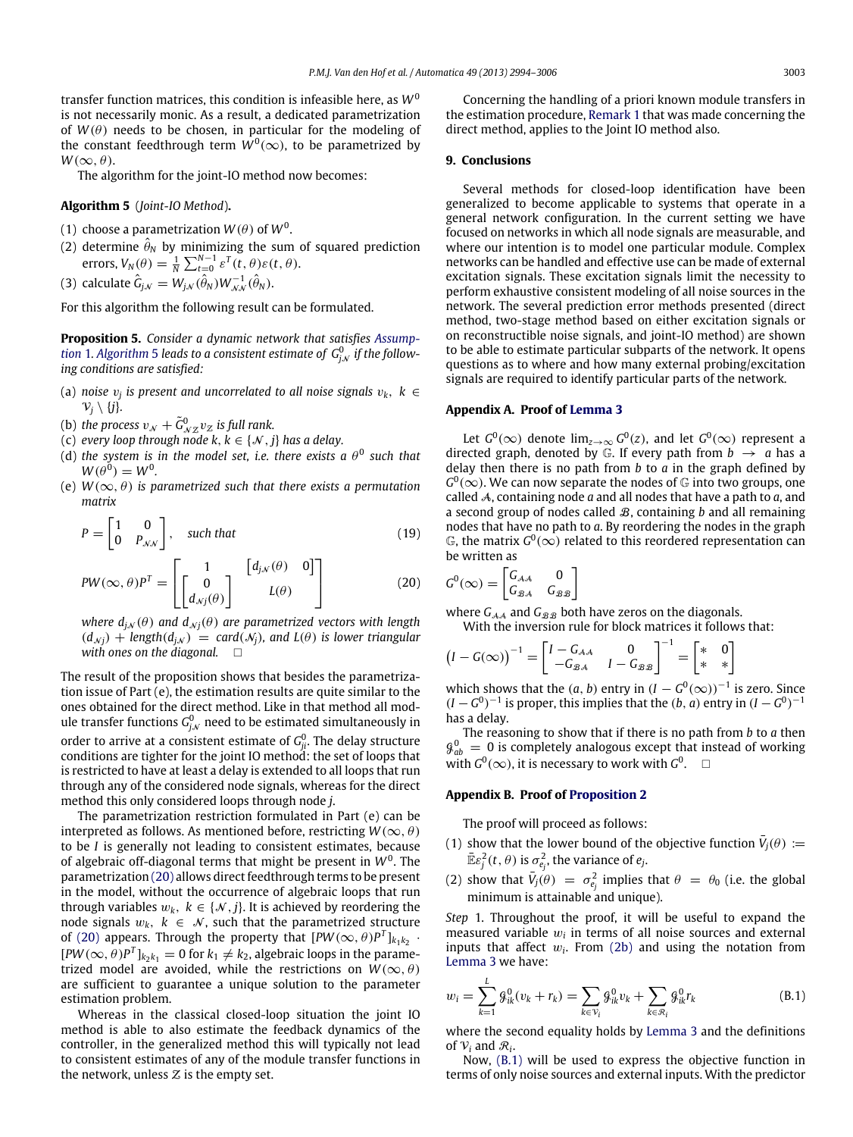transfer function matrices, this condition is infeasible here, as *W*<sup>0</sup> is not necessarily monic. As a result, a dedicated parametrization of  $W(\theta)$  needs to be chosen, in particular for the modeling of the constant feedthrough term  $W^0(\infty)$ , to be parametrized by  $W(\infty, \theta)$ .

<span id="page-9-1"></span>The algorithm for the joint-IO method now becomes:

**Algorithm 5** (*Joint-IO Method*)**.**

- (1) choose a parametrization  $W(\theta)$  of  $W^0.$
- (2) determine  $\hat{\theta}_N$  by minimizing the sum of squared prediction errors,  $V_N(\theta) = \frac{1}{N} \sum_{t=0}^{N-1} \varepsilon^T(t, \theta) \varepsilon(t, \theta)$ .

(3) calculate  $\hat{G}_{j,\scriptscriptstyle\mathcal{N}}=W_{j,\scriptscriptstyle\mathcal{N}}(\hat{\theta}_N)W_{\scriptscriptstyle\mathcal{N},\scriptscriptstyle\mathcal{N}}^{-1}(\hat{\theta}_N).$ 

For this algorithm the following result can be formulated.

<span id="page-9-4"></span>**[P](#page-2-2)roposition 5.** *Consider a dynamic network that satisfies [Assump](#page-2-2)* $t$ ion 1. [Algorithm](#page-9-1) 5 leads to a consistent estimate of  $\,mathrm{G}^0_{\mathrm{j},\mathcal{N}}\,$  if the follow*ing conditions are satisfied:*

- (a) noise  $v_j$  is present and uncorrelated to all noise signals  $v_k$ ,  $k \in$  $\mathcal{V}_j \setminus \{j\}.$
- (b) the process  $v_{\mathcal{N}} + \tilde{G}_{\mathcal{N} \mathcal{Z}}^0 v_{\mathcal{Z}}$  is full rank.
- (c) *every loop through node k*,  $k \in \{N, j\}$  *has a delay.*
- (d) the system is in the model set, i.e. there exists a  $\theta^0$  such that  $W(\theta^0) = W^0$ .
- (e)  $W(\infty, \theta)$  *is parametrized such that there exists a permutation matrix*

$$
P = \begin{bmatrix} 1 & 0 \\ 0 & P_{\mathcal{N}\mathcal{N}} \end{bmatrix}, \quad \text{such that} \tag{19}
$$

$$
PW(\infty, \theta)P^{T} = \begin{bmatrix} 1 & [d_{j,N}(\theta) & 0] \\ 0 & L(\theta) & 0 \end{bmatrix}
$$
(20)

*where*  $d_{jN}(\theta)$  *and*  $d_{Nj}(\theta)$  *are parametrized vectors with length*  $(d_{N} + \text{length}(d_{jN}) = \text{card}(\mathcal{N}_j)$ , and  $L(\theta)$  is lower triangular *with ones on the diagonal.*

The result of the proposition shows that besides the parametrization issue of Part (e), the estimation results are quite similar to the ones obtained for the direct method. Like in that method all module transfer functions  $G_{j,\mathcal{N}}^0$  need to be estimated simultaneously in order to arrive at a consistent estimate of  $G^0_{ji}.$  The delay structure conditions are tighter for the joint IO method: the set of loops that is restricted to have at least a delay is extended to all loops that run through any of the considered node signals, whereas for the direct method this only considered loops through node *j*.

The parametrization restriction formulated in Part (e) can be interpreted as follows. As mentioned before, restricting  $W(\infty, \theta)$ to be *I* is generally not leading to consistent estimates, because of algebraic off-diagonal terms that might be present in W<sup>0</sup>. The parametrization [\(20\)](#page-9-2) allows direct feedthrough terms to be present in the model, without the occurrence of algebraic loops that run through variables  $w_k$ ,  $k \in \{\mathcal{N}, j\}$ . It is achieved by reordering the node signals  $w_k$ ,  $k \in \mathcal{N}$ , such that the parametrized structure of [\(20\)](#page-9-2) appears. Through the property that  $[PW(\infty, \theta)P^T]_{k_1k_2}$ .  $[PW(\infty, \theta)P^T]_{k_2k_1} = 0$  for  $k_1 \neq k_2$ , algebraic loops in the parametrized model are avoided, while the restrictions on  $W(\infty, \theta)$ are sufficient to guarantee a unique solution to the parameter estimation problem.

Whereas in the classical closed-loop situation the joint IO method is able to also estimate the feedback dynamics of the controller, in the generalized method this will typically not lead to consistent estimates of any of the module transfer functions in the network, unless  $Z$  is the empty set.

Concerning the handling of a priori known module transfers in the estimation procedure, [Remark 1](#page-5-5) that was made concerning the direct method, applies to the Joint IO method also.

#### **9. Conclusions**

Several methods for closed-loop identification have been generalized to become applicable to systems that operate in a general network configuration. In the current setting we have focused on networks in which all node signals are measurable, and where our intention is to model one particular module. Complex networks can be handled and effective use can be made of external excitation signals. These excitation signals limit the necessity to perform exhaustive consistent modeling of all noise sources in the network. The several prediction error methods presented (direct method, two-stage method based on either excitation signals or on reconstructible noise signals, and joint-IO method) are shown to be able to estimate particular subparts of the network. It opens questions as to where and how many external probing/excitation signals are required to identify particular parts of the network.

# <span id="page-9-0"></span>**Appendix A. Proof of [Lemma 3](#page-4-3)**

Let  $G^0(\infty)$  denote  $\lim_{z\to\infty} G^0(z)$ , and let  $G^0(\infty)$  represent a directed graph, denoted by  $\mathbb{G}$ . If every path from  $b \rightarrow a$  has a delay then there is no path from *b* to *a* in the graph defined by  $G^0(\infty)$ . We can now separate the nodes of  $\mathbb G$  into two groups, one called A, containing node *a* and all nodes that have a path to *a*, and a second group of nodes called B, containing *b* and all remaining nodes that have no path to *a*. By reordering the nodes in the graph  $\mathbb G$ , the matrix  $G^0(\infty)$  related to this reordered representation can be written as

<span id="page-9-5"></span><span id="page-9-2"></span>
$$
G^0(\infty) = \begin{bmatrix} G_{\mathcal{A}\mathcal{A}} & 0 \\ G_{\mathcal{B}\mathcal{A}} & G_{\mathcal{B}\mathcal{B}} \end{bmatrix}
$$

where  $G_{A,A}$  and  $G_{B,B}$  both have zeros on the diagonals. With the inversion rule for block matrices it follows that:

$$
\left(I - G(\infty)\right)^{-1} = \begin{bmatrix} I - G_{\mathcal{A}\mathcal{A}} & 0 \\ -G_{\mathcal{B}\mathcal{A}} & I - G_{\mathcal{B}\mathcal{B}} \end{bmatrix}^{-1} = \begin{bmatrix} * & 0 \\ * & * \end{bmatrix}
$$

which shows that the  $(a, b)$  entry in  $(I - G^0(\infty))^{-1}$  is zero. Since  $(I - G^0)^{-1}$  is proper, this implies that the  $(b, a)$  entry in  $(I - G^0)^{-1}$ has a delay.

The reasoning to show that if there is no path from *b* to *a* then  $\mathcal{G}^0_{ab} = 0$  is completely analogous except that instead of working with  $G^0(\infty)$ , it is necessary to work with  $G^0$ .  $\Box$ 

#### **Appendix B. Proof of [Proposition 2](#page-5-2)**

The proof will proceed as follows:

- (1) show that the lower bound of the objective function  $\bar{V}_j(\theta) :=$  $\bar{\mathbb{E}} \varepsilon_j^2(t, \theta)$  is  $\sigma_{e_j}^2$ , the variance of  $e_j$ .
- (2) show that  $\bar{V}_j(\theta) = \sigma_{e_j}^2$  implies that  $\theta = \theta_0$  (i.e. the global minimum is attainable and unique).

*Step* 1. Throughout the proof, it will be useful to expand the measured variable  $w_i$  in terms of all noise sources and external inputs that affect  $w_i$ . From [\(2b\)](#page-1-4) and using the notation from [Lemma 3](#page-4-3) we have:

<span id="page-9-3"></span>
$$
w_i = \sum_{k=1}^{L} \mathcal{G}_{ik}^0(v_k + r_k) = \sum_{k \in \mathcal{V}_i} \mathcal{G}_{ik}^0 v_k + \sum_{k \in \mathcal{R}_i} \mathcal{G}_{ik}^0 r_k
$$
(B.1)

where the second equality holds by [Lemma 3](#page-4-3) and the definitions of  $V_i$  and  $R_i$ .

Now, [\(B.1\)](#page-9-3) will be used to express the objective function in terms of only noise sources and external inputs. With the predictor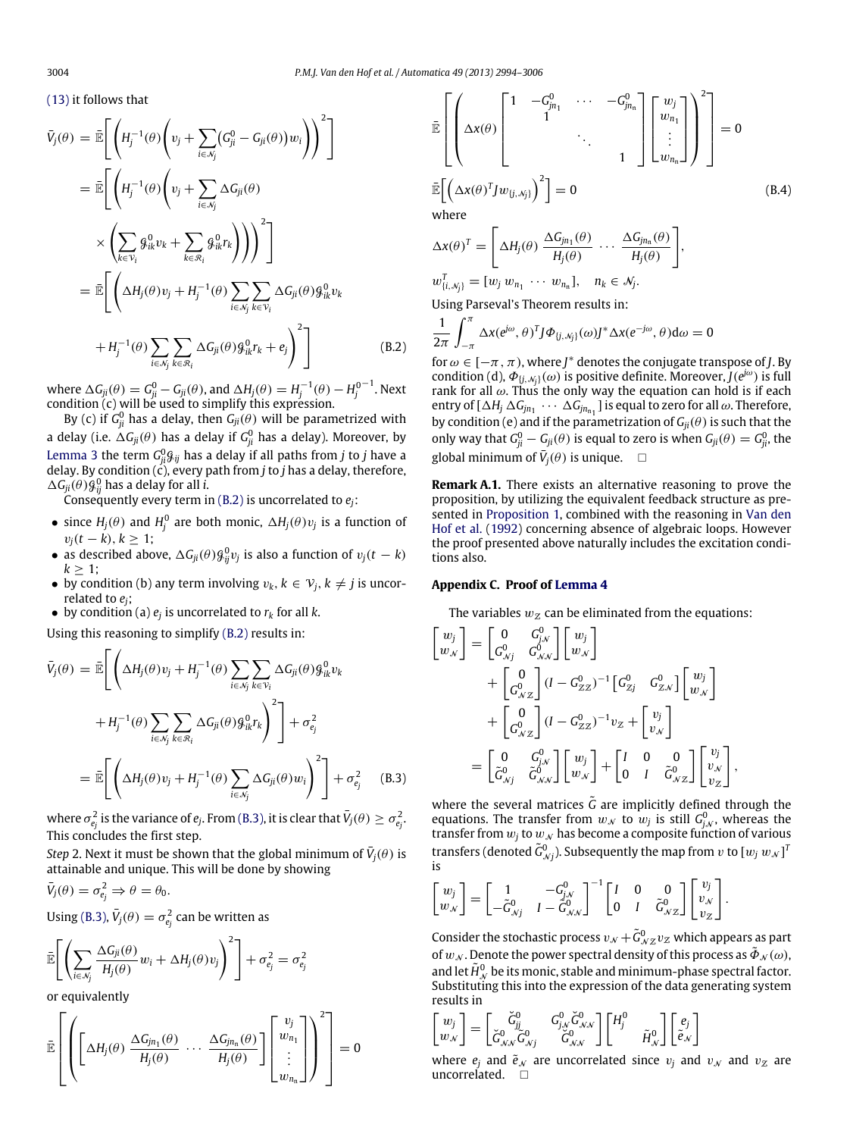[\(13\)](#page-5-1) it follows that

$$
\bar{V}_{j}(\theta) = \bar{\mathbb{E}} \Bigg[ \Bigg( H_{j}^{-1}(\theta) \Bigg( v_{j} + \sum_{i \in \mathcal{N}_{j}} (G_{ji}^{0} - G_{ji}(\theta)) w_{i} \Bigg) \Bigg)^{2} \Bigg]
$$
\n
$$
= \bar{\mathbb{E}} \Bigg[ \Bigg( H_{j}^{-1}(\theta) \Bigg( v_{j} + \sum_{i \in \mathcal{N}_{j}} \Delta G_{ji}(\theta) \Bigg) \times \Bigg( \sum_{k \in \mathcal{V}_{i}} g_{ik}^{0} v_{k} + \sum_{k \in \mathcal{R}_{i}} g_{ik}^{0} r_{k} \Bigg) \Bigg) \Bigg)^{2} \Bigg]
$$
\n
$$
= \bar{\mathbb{E}} \Bigg[ \Bigg( \Delta H_{j}(\theta) v_{j} + H_{j}^{-1}(\theta) \sum_{i \in \mathcal{N}_{j}} \sum_{k \in \mathcal{V}_{i}} \Delta G_{ji}(\theta) g_{ik}^{0} v_{k} + H_{j}^{-1}(\theta) \sum_{i \in \mathcal{N}_{j}} \sum_{k \in \mathcal{R}_{i}} \Delta G_{ji}(\theta) g_{ik}^{0} r_{k} + e_{j} \Bigg)^{2} \Bigg]
$$
\n(B.2)

where  $\Delta G_{ji}(\theta) = G_{ji}^0 - G_{ji}(\theta)$ , and  $\Delta H_j(\theta) = H_j^{-1}(\theta) - H_j^0$  $^{-1}$ . Next condition (c) will be used to simplify this expression.

By (c) if  $G_{ji}^0$  has a delay, then  $G_{ji}(\theta)$  will be parametrized with a delay (i.e.  $\Delta G_{ji}(\theta)$  has a delay if  $G_{ji}^0$  has a delay). Moreover, by [Lemma 3](#page-4-3) the term  $G^0_{ji}\mathcal{G}_{ij}$  has a delay if all paths from *j* to *j* have a delay. By condition (c), every path from *j* to *j* has a delay, therefore,  $\Delta G_{ji}(\theta) \mathcal{G}_{ij}^0$  has a delay for all *i*.

Consequently every term in [\(B.2\)](#page-10-1) is uncorrelated to  $e_i$ :

- since  $H_j(\theta)$  and  $H_j^0$  are both monic,  $\Delta H_j(\theta) v_j$  is a function of  $v_j(t - k)$ ,  $k \ge 1$ ;
- as described above,  $\Delta G_{ji}(\theta) \mathcal{G}_{ij}^0 v_j$  is also a function of  $v_j(t k)$  $k \geq 1$ ;
- by condition (b) any term involving  $v_k$ ,  $k \in V_j$ ,  $k \neq j$  is uncorrelated to *ej*;
- by condition (a)  $e_j$  is uncorrelated to  $r_k$  for all  $k$ .

Using this reasoning to simplify [\(B.2\)](#page-10-1) results in:

$$
\bar{V}_{j}(\theta) = \bar{\mathbb{E}} \Bigg[ \Bigg( \Delta H_{j}(\theta) v_{j} + H_{j}^{-1}(\theta) \sum_{i \in \mathcal{N}_{j}} \sum_{k \in \mathcal{V}_{i}} \Delta G_{ji}(\theta) g_{ik}^{0} v_{k} \n+ H_{j}^{-1}(\theta) \sum_{i \in \mathcal{N}_{j}} \sum_{k \in \mathcal{R}_{i}} \Delta G_{ji}(\theta) g_{ik}^{0} r_{k} \Bigg)^{2} \Bigg] + \sigma_{e_{j}}^{2} \n= \bar{\mathbb{E}} \Bigg[ \Bigg( \Delta H_{j}(\theta) v_{j} + H_{j}^{-1}(\theta) \sum_{i \in \mathcal{N}_{j}} \Delta G_{ji}(\theta) w_{i} \Bigg)^{2} \Bigg] + \sigma_{e_{j}}^{2} \qquad (B.3)
$$

where  $\sigma_{e_j}^2$  is the variance of  $e_j$ . From [\(B.3\),](#page-10-0) it is clear that  $\bar{V}_j(\theta) \geq \sigma_{e_j}^2$ . This concludes the first step.

*Step* 2. Next it must be shown that the global minimum of  $\bar{V}_j(\theta)$  is attainable and unique. This will be done by showing

$$
\bar{V}_j(\theta) = \sigma_{e_j}^2 \Rightarrow \theta = \theta_0.
$$

Using [\(B.3\),](#page-10-0)  $\bar{V}_j(\theta) = \sigma_{e_j}^2$  can be written as

$$
\bar{\mathbb{E}}\left[\left(\sum_{i\in\mathcal{N}_j}\frac{\Delta G_{ji}(\theta)}{H_j(\theta)}w_i+\Delta H_j(\theta)v_j\right)^2\right]+\sigma_{e_j}^2=\sigma_{e_j}^2
$$

or equivalently

$$
\bar{\mathbb{E}}\left[\left(\left[\Delta H_j(\theta)\ \frac{\Delta G_{jn_1}(\theta)}{H_j(\theta)}\ \cdots\ \frac{\Delta G_{jn_n}(\theta)}{H_j(\theta)}\right]\left[\begin{matrix}v_j\\w_{n_1}\\ \vdots\\w_{n_n}\end{matrix}\right]\right)^2\right]=0
$$

$$
\mathbb{E}\left[\left(\Delta x(\theta)\begin{bmatrix}1 & -G_{jn_1}^0 & \cdots & -G_{jn_n}^0 \\ 1 & 1 & & \\ & \ddots & \\ & & 1 & \end{bmatrix}\begin{bmatrix}w_j \\ w_{n_1} \\ \vdots \\ w_{n_n}\end{bmatrix}\right)^2\right] = 0
$$
\nwhere\n
$$
\mathbb{E}\left[\left(\Delta x(\theta)^T J w_{(j,\mathcal{N}_j)}\right)^2\right] = 0
$$
\n(8.4)

$$
\Delta \mathbf{x}(\theta)^{T} = \left[ \Delta H_{j}(\theta) \frac{\Delta G_{jn_{1}}(\theta)}{H_{j}(\theta)} \cdots \frac{\Delta G_{jn_{n}}(\theta)}{H_{j}(\theta)} \right],
$$
  

$$
w_{\{i,\mathcal{N}_{j}\}}^{T} = [w_{j} w_{n_{1}} \cdots w_{n_{n}}], \quad n_{k} \in \mathcal{N}_{j}.
$$

Using Parseval's Theorem results in:

<span id="page-10-1"></span>
$$
\frac{1}{2\pi} \int_{-\pi}^{\pi} \Delta x (e^{j\omega}, \theta)^T J \Phi_{\{j, M_j\}}(\omega) J^* \Delta x (e^{-j\omega}, \theta) d\omega = 0
$$

for  $\omega \in [-\pi, \pi)$ , where  $J^*$  denotes the conjugate transpose of *J*. By condition (d),  $\Phi_{[j,\mathcal{N}_j]}(\omega)$  is positive definite. Moreover,  $J(e^{j\omega})$  is full rank for all  $\omega$ . Thus the only way the equation can hold is if each entry of  $[\Delta H_j \Delta G_{jn_1} \cdots \Delta G_{jn_{n_1}}]$  is equal to zero for all  $\omega$ . Therefore, by condition (e) and if the parametrization of  $G_{ii}(\theta)$  is such that the only way that  $G_{ji}^0 - G_{ji}(\theta)$  is equal to zero is when  $G_{ji}(\theta) = G_{ji}^0$ , the global minimum of  $\bar{V}_j(\theta)$  is unique.  $\square$ 

**Remark A.1.** There exists an alternative reasoning to prove the proposition, by utilizing the equivalent feedback structure as presented in [Proposition 1,](#page-4-4) combined with the reasoning in [Van](#page-12-27) [den](#page-12-27) [Hof](#page-12-27) [et al.](#page-12-27) [\(1992\)](#page-12-27) concerning absence of algebraic loops. However the proof presented above naturally includes the excitation conditions also.

#### **Appendix C. Proof of [Lemma 4](#page-8-5)**

 $\sim$  0.00  $-$ 

Г

The variables  $w_{\mathcal{Z}}$  can be eliminated from the equations:

$$
\begin{aligned}\n\begin{bmatrix}\nw_j \\
w_N\n\end{bmatrix} &= \begin{bmatrix} 0 & G_{j_N}^0 \\ G_{j_Nj}^0 & G_{j_Nj}^0 \end{bmatrix} \begin{bmatrix} w_j \\ w_N \end{bmatrix} \\
&+ \begin{bmatrix} 0 \\ G_{j_Nz}^0 \end{bmatrix} (I - G_{ZZ}^0)^{-1} \begin{bmatrix} G_{Zj}^0 & G_{ZX}^0 \end{bmatrix} \begin{bmatrix} w_j \\ w_N \end{bmatrix} \\
&+ \begin{bmatrix} 0 \\ G_{j_Nz}^0 \end{bmatrix} (I - G_{ZZ}^0)^{-1} v_Z + \begin{bmatrix} v_j \\ v_N \end{bmatrix} \\
&= \begin{bmatrix} 0 & G_{j_N}^0 \\ \tilde{G}_{j_Nj}^0 & \tilde{G}_{j_Nj}^0 \end{bmatrix} \begin{bmatrix} w_j \\ w_N \end{bmatrix} + \begin{bmatrix} I & 0 & 0 \\ 0 & I & \tilde{G}_{j_Nz}^0 \end{bmatrix} \begin{bmatrix} v_j \\ v_N \\ v_Z \end{bmatrix},\n\end{aligned}
$$

<span id="page-10-0"></span>where the several matrices  $\tilde{G}$  are implicitly defined through the equations. The transfer from  $w_N$  to  $w_j$  is still  $G_{j,N}^0$ , whereas the transfer from  $w_j$  to  $w_{\mathcal{N}}$  has become a composite function of various transfers (denoted  $\tilde{G}_{\mathcal{N} j}^0$ ). Subsequently the map from  $v$  to  $[w_j \, w_{\mathcal{N}}]^T$ is

$$
\begin{bmatrix} w_j \\ w_N \end{bmatrix} = \begin{bmatrix} 1 & -G^0_{j,N} \\ -\tilde{G}^0_{N,j} & I - \tilde{G}^0_{N,N} \end{bmatrix}^{-1} \begin{bmatrix} I & 0 & 0 \\ 0 & I & \tilde{G}^0_{N,Z} \end{bmatrix} \begin{bmatrix} v_j \\ v_N \\ v_Z \end{bmatrix}.
$$

Consider the stochastic process  $v_{\mathcal{N}} + \tilde{G}_{\mathcal{N} \mathcal{Z}}^0 v_{\mathcal{Z}}$  which appears as part of  $w_N$ . Denote the power spectral density of this process as  $\tilde{\Phi}_N(\omega)$ , and let  $\tilde{H}_{\mathcal{N}}^{0}$  be its monic, stable and minimum-phase spectral factor. Substituting this into the expression of the data generating system results in

$$
\begin{bmatrix} w_j \\ w_{\mathcal{N}} \end{bmatrix} = \begin{bmatrix} \check{G}^0_{jj} & G^0_{j,\mathcal{N}} \check{G}^0_{\mathcal{N}\mathcal{N}} \\ \check{G}^0_{\mathcal{N}\mathcal{N}} \check{G}^0_{\mathcal{N}j} & \check{G}^0_{\mathcal{N}\mathcal{N}} \end{bmatrix} \begin{bmatrix} H_j^0 \\ & \tilde{H}^0_{\mathcal{N}} \end{bmatrix} \begin{bmatrix} e_j \\ \tilde{e}_{\mathcal{N}} \end{bmatrix}
$$

where  $e_j$  and  $\tilde{e}_{\mathcal{N}}$  are uncorrelated since  $v_j$  and  $v_{\mathcal{N}}$  and  $v_{\mathcal{Z}}$  are uncorrelated.  $\square$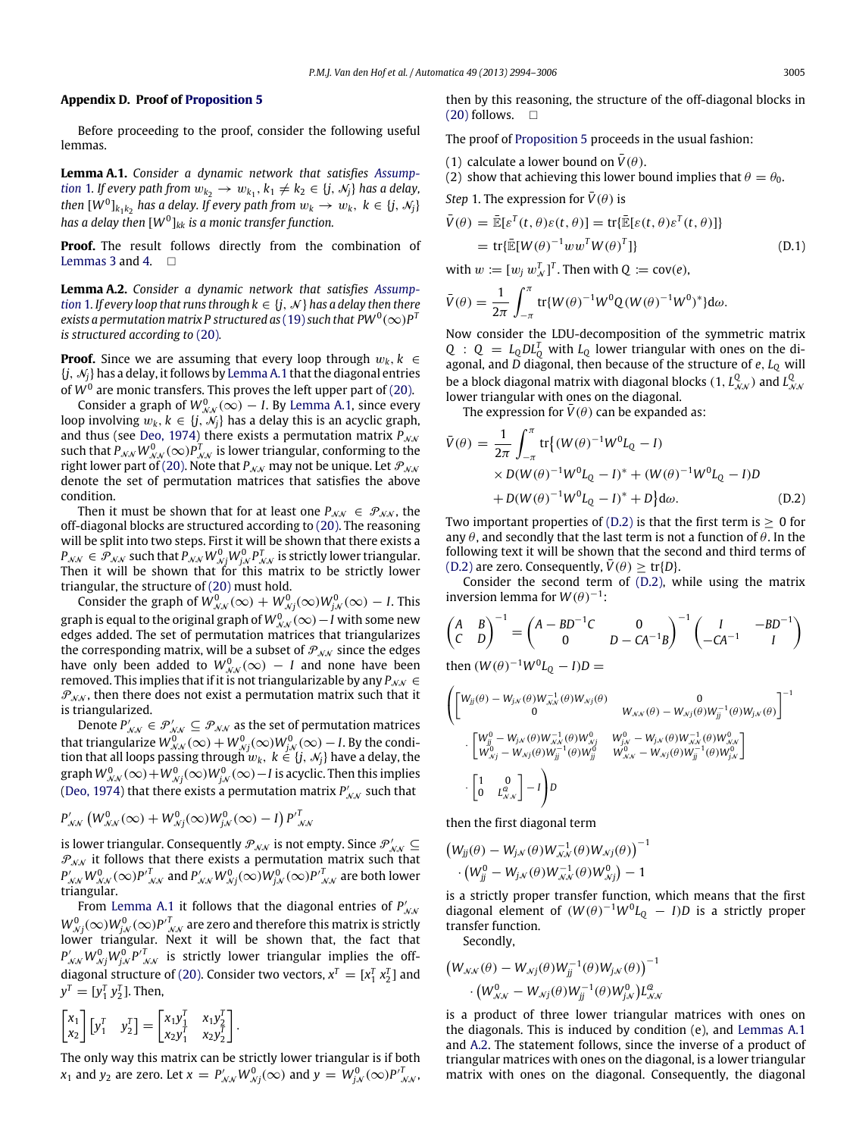#### **Appendix D. Proof of [Proposition 5](#page-9-4)**

Before proceeding to the proof, consider the following useful lemmas.

<span id="page-11-0"></span>**[L](#page-2-2)emma A.1.** *Consider a dynamic network that satisfies [Assump](#page-2-2)[tion](#page-2-2)* 1. If every path from  $w_{k_2} \to w_{k_1}$ ,  $k_1 \neq k_2 \in \{j, \mathcal{N}_j\}$  has a delay,  $t$ hen  $[W^0]_{k_1k_2}$  has a delay. If every path from  $w_k \to w_k, \; k \in \{j, \, \mathcal{N}_j\}$ *has a delay then* [*W*<sup>0</sup> ]*kk is a monic transfer function.*

**Proof.** The result follows directly from the combination of [Lemmas 3](#page-4-3) and [4.](#page-8-5)  $\Box$ 

<span id="page-11-2"></span>**[L](#page-2-2)emma A.2.** *Consider a dynamic network that satisfies [Assump](#page-2-2)[tion](#page-2-2)* 1*. If every loop that runs through*  $k \in \{j, \mathcal{N}\}\$  *has a delay then there*  $e$ xists a permutation matrix P structured as ( 19) such that PW  $^0(\infty)$  P  $^1$ *is structured according to* [\(20\)](#page-9-2)*.*

**Proof.** Since we are assuming that every loop through  $w_k$ ,  $k \in$  $\{j, \mathcal{N}_i\}$  has a delay, it follows by [Lemma A.1](#page-11-0) that the diagonal entries of  $W^0$  are monic transfers. This proves the left upper part of [\(20\).](#page-9-2)

Consider a graph of  $W_{\mathcal{N}\mathcal{N}}^0(\infty) - I$ . By [Lemma A.1,](#page-11-0) since every loop involving  $w_k, k \in \{j, \mathcal{N}_j\}$  has a delay this is an acyclic graph, and thus (see [Deo,](#page-12-29) [1974\)](#page-12-29) there exists a permutation matrix  $P_{NN}$ such that  $P_{\mathcal{N}\mathcal{N}}W^0_{\mathcal{N}\mathcal{N}}(\infty)P^T_{\mathcal{N}\mathcal{N}}$  is lower triangular, conforming to the right lower part of [\(20\).](#page-9-2) Note that  $P_{NN}$  may not be unique. Let  $P_{NN}$ denote the set of permutation matrices that satisfies the above condition.

Then it must be shown that for at least one  $P_{NN} \in \mathcal{P}_{NN}$ , the off-diagonal blocks are structured according to [\(20\).](#page-9-2) The reasoning will be split into two steps. First it will be shown that there exists a  $P_{\mathcal{N}\mathcal{N}} \in \mathcal{P}_{\mathcal{N}\mathcal{N}}$  such that  $P_{\mathcal{N}\mathcal{N}}W_{\mathcal{N}j}^0W_{j\mathcal{N}}^0P_{\mathcal{N}\mathcal{N}}^T$  is strictly lower triangular. Then it will be shown that for this matrix to be strictly lower triangular, the structure of [\(20\)](#page-9-2) must hold.

Consider the graph of  $W_{\mathcal{N}\mathcal{N}}^0(\infty)+W_{\mathcal{N}j}^0(\infty)W_{j\mathcal{N}}^0(\infty)-I.$  This graph is equal to the original graph of  $W_{\mathcal{NN}}^0(\infty)-I$  with some new edges added. The set of permutation matrices that triangularizes the corresponding matrix, will be a subset of  $P_{NN}$  since the edges have only been added to  $W_{\mathcal{NN}}^0(\infty) \, - \, I$  and none have been removed. This implies that if it is not triangularizable by any  $P_{NN}$  ∈  $P_{NN}$ , then there does not exist a permutation matrix such that it is triangularized.

Denote  $P'_{NN} \in \mathcal{P}'_{NN} \subseteq \mathcal{P}_{NN}$  as the set of permutation matrices that triangularize  $W_{\mathcal{NN}}^0(\infty)+W_{\mathcal{N}j}^0(\infty)W_{j\mathcal{N}}^0(\infty)-I.$  By the condition that all loops passing through  $w_k, \; k \in \{j, \, \mathcal{N}_j\}$  have a delay, the graph  $W_{\mathcal{N}\mathcal{N}}^{0}(\infty)$   $+$   $W_{\mathcal{N}j}^{0}(\infty)$   $W_{j\mathcal{N}}^{0}(\infty)$   $I$  is acyclic. Then this implies [\(Deo,](#page-12-29) [1974\)](#page-12-29) that there exists a permutation matrix  $P'_{\mathcal{N}\mathcal{N}}$  such that

$$
P'_{\mathcal{N}\mathcal{N}}\left(W_{\mathcal{N}\mathcal{N}}^0(\infty)+W_{\mathcal{N}j}^0(\infty)W_{j\mathcal{N}}^0(\infty)-I\right)P'\right]_{\mathcal{N}\mathcal{N}}^T
$$

is lower triangular. Consequently  $\mathscr{P_{NN}}$  is not empty. Since  $\mathscr{P_{NN}}\subseteq$  $\mathcal{P}_{\mathcal{NN}}$  it follows that there exists a permutation matrix such that  $P'_{\cal NN} W^0_{\cal NN}(\infty) {P'}^T_{\cal NN}$  and  $P'_{\cal NN} W^0_{\cal Nj}(\infty) W^0_{j{\cal N}}(\infty) {P'}^T_{\cal NN}$  are both lower triangular.

From [Lemma A.1](#page-11-0) it follows that the diagonal entries of *P* ′ Nom certifica A.1 It follows that the diagonal entries of  $T_{NN}$ <br> $W_{Nj}^0(\infty)W_{jN}^0(\infty)P^T_{NN}$  are zero and therefore this matrix is strictly lower triangular. Next it will be shown that, the fact that  $P'_{\mathcal{N}\mathcal{N}}W_{\mathcal{N}j}^{0}W_{j\mathcal{N}}^{0}P'^{T}_{\mathcal{N}\mathcal{N}}$  is strictly lower triangular implies the off-diagonal structure of [\(20\).](#page-9-2) Consider two vectors,  $x^T = [x_1^T x_2^T]$  and  $y^T = [y_1^T y_2^T]$ . Then,

$$
\begin{bmatrix} x_1 \\ x_2 \end{bmatrix} \begin{bmatrix} y_1^T & y_2^T \end{bmatrix} = \begin{bmatrix} x_1 y_1^T & x_1 y_2^T \\ x_2 y_1^T & x_2 y_2^T \end{bmatrix}.
$$

The only way this matrix can be strictly lower triangular is if both *x*<sub>1</sub> and *y*<sub>2</sub> are zero. Let  $x = P'_{\mathcal{N}\mathcal{N}}W^0_{\mathcal{N}j}(\infty)$  and  $y = W^0_{j\mathcal{N}}(\infty)P'^T_{\mathcal{N}\mathcal{N}}$ ,

then by this reasoning, the structure of the off-diagonal blocks in  $(20)$  follows.  $\Box$ 

The proof of [Proposition 5](#page-9-4) proceeds in the usual fashion:

- (1) calculate a lower bound on  $\bar{V}(\theta)$ .
- (2) show that achieving this lower bound implies that  $\theta = \theta_0$ .

*Step* 1. The expression for  $\bar{V}(\theta)$  is

$$
\bar{V}(\theta) = \bar{\mathbb{E}}[\varepsilon^{T}(t, \theta)\varepsilon(t, \theta)] = \text{tr}\{\bar{\mathbb{E}}[\varepsilon(t, \theta)\varepsilon^{T}(t, \theta)]\}
$$

$$
= \text{tr}\{\bar{\mathbb{E}}[W(\theta)^{-1}ww^{T}W(\theta)^{T}]\}
$$
(D.1)

with  $w := [w_j w_{\mathcal{N}}^T]^T$ . Then with  $Q := cov(e)$ ,

$$
\bar{V}(\theta) = \frac{1}{2\pi} \int_{-\pi}^{\pi} tr\{W(\theta)^{-1}W^{0}Q(W(\theta)^{-1}W^{0})^{*}\}d\omega.
$$

Now consider the LDU-decomposition of the symmetric matrix *Q* :  $Q = L_0 D L_0^T$  with  $L_0$  lower triangular with ones on the diagonal, and *D* diagonal, then because of the structure of *e*, *L<sup>Q</sup>* will be a block diagonal matrix with diagonal blocks  $(1, L_{\mathcal{N}\mathcal{N}}^Q)$  and  $L_{\mathcal{N}\mathcal{N}}^Q$ lower triangular with ones on the diagonal.

<span id="page-11-1"></span>The expression for  $V(\theta)$  can be expanded as:

$$
\bar{V}(\theta) = \frac{1}{2\pi} \int_{-\pi}^{\pi} \text{tr}\{ (W(\theta)^{-1}W^{0}L_{Q} - I) \times D(W(\theta)^{-1}W^{0}L_{Q} - I)^{*} + (W(\theta)^{-1}W^{0}L_{Q} - I)D + D(W(\theta)^{-1}W^{0}L_{Q} - I)^{*} + D \} d\omega.
$$
\n(D.2)

Two important properties of  $(D.2)$  is that the first term is  $> 0$  for any  $\theta$ , and secondly that the last term is not a function of  $\theta$ . In the following text it will be shown that the second and third terms of [\(D.2\)](#page-11-1) are zero. Consequently,  $\bar{V}(\theta) \geq \text{tr}\{D\}.$ 

Consider the second term of [\(D.2\),](#page-11-1) while using the matrix inversion lemma for  $W(\theta)^{-1}$ :

$$
\begin{pmatrix} A & B \\ C & D \end{pmatrix}^{-1} = \begin{pmatrix} A - BD^{-1}C & 0 \\ 0 & D - CA^{-1}B \end{pmatrix}^{-1} \begin{pmatrix} I & -BD^{-1} \\ -CA^{-1} & I \end{pmatrix}
$$

then  $(W(\theta)^{-1}W^{0}L_{Q} - I)D =$ 

$$
\begin{aligned}&\left(\begin{bmatrix}W_{jj}(\theta)-W_{j_{\mathcal{N}}}(\theta)W_{\mathcal{N},j}^{-1}(\theta)W_{\mathcal{N}j}(\theta) & \mathbf{0}\\ \mathbf{0} & W_{\mathcal{N},\mathcal{N}}(\theta)-W_{\mathcal{N}j}(\theta)W_{jj}^{-1}(\theta)W_{j_{\mathcal{N}}}(\theta)\end{bmatrix}^{-1}\\&\cdot\begin{bmatrix}W_{jj}^0-W_{j_{\mathcal{N}}}(\theta)W_{\mathcal{N},\mathcal{N}}^{-1}(\theta)W_{\mathcal{N},j}^0 & W_{j_{\mathcal{N}}}^0-W_{j_{\mathcal{N}}}(\theta)W_{\mathcal{N},\mathcal{N}}^{-1}(\theta)W_{\mathcal{N},\mathcal{N}}^0\\ W_{\mathcal{N},j}^0-W_{\mathcal{N}j}(\theta)W_{jj}^{-1}(\theta)W_{jj}^0 & W_{\mathcal{N},\mathcal{N}}^0-W_{\mathcal{N}j}(\theta)W_{jj}^{-1}(\theta)W_{j_{\mathcal{N}}}^0\end{bmatrix}\end{aligned}\right]^{-1}
$$

then the first diagonal term

$$
\begin{aligned} &\left(W_{jj}(\theta)-W_{j\mathcal{N}}(\theta)W_{\mathcal{N}\mathcal{N}}^{-1}(\theta)W_{\mathcal{N}j}(\theta)\right)^{-1}\\ &\cdot\left(W_{jj}^0-W_{j\mathcal{N}}(\theta)W_{\mathcal{N}\mathcal{N}}^{-1}(\theta)W_{\mathcal{N}j}^0\right)-1\end{aligned}
$$

is a strictly proper transfer function, which means that the first diagonal element of  $(W(\theta))^{-1}W^0L_Q - I)D$  is a strictly proper transfer function.

Secondly,

$$
\begin{aligned} & \left(W_{\mathcal{N}\mathcal{N}}(\theta) - W_{\mathcal{N}j}(\theta)W_{jj}^{-1}(\theta)W_{j\mathcal{N}}(\theta)\right)^{-1} \\ & \cdot \left(W_{\mathcal{N}\mathcal{N}}^0 - W_{\mathcal{N}j}(\theta)W_{jj}^{-1}(\theta)W_{j\mathcal{N}}^0\right)L_{\mathcal{N}\mathcal{N}}^{\mathcal{Q}} \end{aligned}
$$

is a product of three lower triangular matrices with ones on the diagonals. This is induced by condition (e), and [Lemmas A.1](#page-11-0) and [A.2.](#page-11-2) The statement follows, since the inverse of a product of triangular matrices with ones on the diagonal, is a lower triangular matrix with ones on the diagonal. Consequently, the diagonal